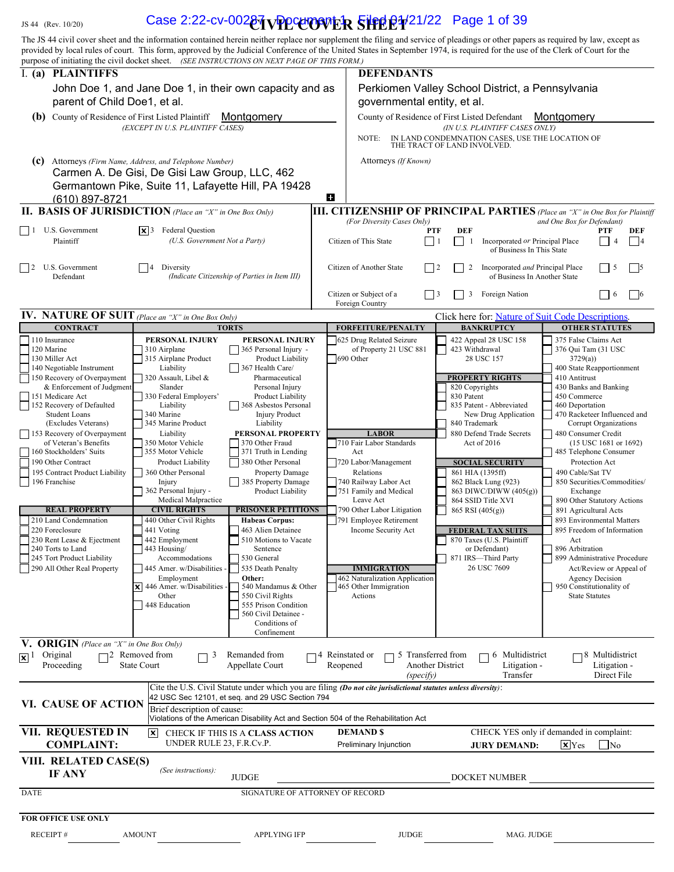# $L_{\rm JS\,44\,~(Rev.~10/20)}$  Case 2:22-cv-002 $\delta$ TvPPCorp $\delta$ vick  $\frac{1}{2}$ Filed 01/21/22 Page 1 of 39

| JS 44 (Rev. 10/20)                                                                                                                                                                                                                     | Case 2:22-cv-002 $\frac{\partial \eta}{\partial \phi}$ $\frac{\partial \phi}{\partial \phi}$ $\frac{\partial \phi}{\partial \phi}$ = $\frac{\partial \phi}{\partial \phi}$ = $\frac{\partial \phi}{\partial \phi}$ 21/22 Page 1 of 39<br>The JS 44 civil cover sheet and the information contained herein neither replace nor supplement the filing and service of pleadings or other papers as required by law, except as |                                                                                                                                                           |                                                                                                                                                                                                                                     |                                                                                                                                                                                                                           |  |
|----------------------------------------------------------------------------------------------------------------------------------------------------------------------------------------------------------------------------------------|----------------------------------------------------------------------------------------------------------------------------------------------------------------------------------------------------------------------------------------------------------------------------------------------------------------------------------------------------------------------------------------------------------------------------|-----------------------------------------------------------------------------------------------------------------------------------------------------------|-------------------------------------------------------------------------------------------------------------------------------------------------------------------------------------------------------------------------------------|---------------------------------------------------------------------------------------------------------------------------------------------------------------------------------------------------------------------------|--|
|                                                                                                                                                                                                                                        | provided by local rules of court. This form, approved by the Judicial Conference of the United States in September 1974, is required for the use of the Clerk of Court for the<br>purpose of initiating the civil docket sheet. (SEE INSTRUCTIONS ON NEXT PAGE OF THIS FORM.)                                                                                                                                              |                                                                                                                                                           |                                                                                                                                                                                                                                     |                                                                                                                                                                                                                           |  |
| I. (a) PLAINTIFFS                                                                                                                                                                                                                      |                                                                                                                                                                                                                                                                                                                                                                                                                            | <b>DEFENDANTS</b>                                                                                                                                         |                                                                                                                                                                                                                                     |                                                                                                                                                                                                                           |  |
|                                                                                                                                                                                                                                        | John Doe 1, and Jane Doe 1, in their own capacity and as                                                                                                                                                                                                                                                                                                                                                                   |                                                                                                                                                           | Perkiomen Valley School District, a Pennsylvania<br>governmental entity, et al.<br>County of Residence of First Listed Defendant<br>Montgomery<br>(IN U.S. PLAINTIFF CASES ONLY)<br>IN LAND CONDEMNATION CASES, USE THE LOCATION OF |                                                                                                                                                                                                                           |  |
| parent of Child Doe1, et al.<br>(b) County of Residence of First Listed Plaintiff                                                                                                                                                      | Montgomery                                                                                                                                                                                                                                                                                                                                                                                                                 |                                                                                                                                                           |                                                                                                                                                                                                                                     |                                                                                                                                                                                                                           |  |
|                                                                                                                                                                                                                                        | (EXCEPT IN U.S. PLAINTIFF CASES)                                                                                                                                                                                                                                                                                                                                                                                           | NOTE:                                                                                                                                                     |                                                                                                                                                                                                                                     |                                                                                                                                                                                                                           |  |
| (c)                                                                                                                                                                                                                                    | Attorneys (Firm Name, Address, and Telephone Number)<br>Carmen A. De Gisi, De Gisi Law Group, LLC, 462<br>Germantown Pike, Suite 11, Lafayette Hill, PA 19428                                                                                                                                                                                                                                                              | Attorneys (If Known)                                                                                                                                      | THE TRACT OF LAND INVOLVED.                                                                                                                                                                                                         |                                                                                                                                                                                                                           |  |
| (610) 897-8721                                                                                                                                                                                                                         |                                                                                                                                                                                                                                                                                                                                                                                                                            | Ð                                                                                                                                                         |                                                                                                                                                                                                                                     |                                                                                                                                                                                                                           |  |
| $\Box$ 1 U.S. Government<br>Plaintiff                                                                                                                                                                                                  | <b>II. BASIS OF JURISDICTION</b> (Place an "X" in One Box Only)<br>$\vert \mathbf{x} \vert$ 3 Federal Question<br>(U.S. Government Not a Party)                                                                                                                                                                                                                                                                            | <b>III. CITIZENSHIP OF PRINCIPAL PARTIES</b> (Place an "X" in One Box for Plaintiff<br>(For Diversity Cases Only)<br>PTF<br>Citizen of This State<br>l 11 | <b>DEF</b><br>Incorporated or Principal Place                                                                                                                                                                                       | and One Box for Defendant)<br>DEF<br>PTF<br>$\Box$ 4<br>$\vert$   4                                                                                                                                                       |  |
| 2 U.S. Government<br>Defendant                                                                                                                                                                                                         | Diversity<br>(Indicate Citizenship of Parties in Item III)                                                                                                                                                                                                                                                                                                                                                                 | Citizen of Another State<br>$\vert$ 12                                                                                                                    | of Business In This State<br>Incorporated and Principal Place<br>2<br>of Business In Another State                                                                                                                                  | $ $   5<br>$\vert$   5                                                                                                                                                                                                    |  |
|                                                                                                                                                                                                                                        |                                                                                                                                                                                                                                                                                                                                                                                                                            | Citizen or Subject of a<br>$ $   3                                                                                                                        | 3 Foreign Nation                                                                                                                                                                                                                    | $\Box$ 6<br>$\Box$ 6                                                                                                                                                                                                      |  |
| <b>IV.</b> NATURE OF SUIT (Place an "X" in One Box Only)                                                                                                                                                                               |                                                                                                                                                                                                                                                                                                                                                                                                                            | Foreign Country                                                                                                                                           | Click here for: Nature of Suit Code Descriptions.                                                                                                                                                                                   |                                                                                                                                                                                                                           |  |
| <b>CONTRACT</b>                                                                                                                                                                                                                        | <b>TORTS</b>                                                                                                                                                                                                                                                                                                                                                                                                               | <b>FORFEITURE/PENALTY</b>                                                                                                                                 | <b>BANKRUPTCY</b>                                                                                                                                                                                                                   | <b>OTHER STATUTES</b>                                                                                                                                                                                                     |  |
| 110 Insurance<br>120 Marine<br>130 Miller Act<br>140 Negotiable Instrument<br>150 Recovery of Overpayment<br>& Enforcement of Judgment<br>151 Medicare Act<br>152 Recovery of Defaulted<br><b>Student Loans</b><br>(Excludes Veterans) | PERSONAL INJURY<br>PERSONAL INJURY<br>$\Box$ 365 Personal Injury -<br>310 Airplane<br>Product Liability<br>315 Airplane Product<br>367 Health Care/<br>Liability<br>320 Assault, Libel &<br>Pharmaceutical<br>Personal Injury<br>Slander<br>330 Federal Employers'<br>Product Liability<br>Liability<br>  368 Asbestos Personal<br>340 Marine<br><b>Injury Product</b><br>345 Marine Product<br>Liability                  | 625 Drug Related Seizure<br>of Property 21 USC 881<br>690 Other                                                                                           | 422 Appeal 28 USC 158<br>423 Withdrawal<br>28 USC 157<br><b>PROPERTY RIGHTS</b><br>820 Copyrights<br>830 Patent<br>835 Patent - Abbreviated<br>New Drug Application<br>840 Trademark                                                | 375 False Claims Act<br>376 Qui Tam (31 USC<br>3729(a)<br>400 State Reapportionment<br>410 Antitrust<br>430 Banks and Banking<br>450 Commerce<br>460 Deportation<br>470 Racketeer Influenced and<br>Corrupt Organizations |  |
| 153 Recovery of Overpayment<br>of Veteran's Benefits<br>160 Stockholders' Suits<br>190 Other Contract<br>195 Contract Product Liability                                                                                                | Liability<br>PERSONAL PROPERTY<br>350 Motor Vehicle<br>370 Other Fraud<br>355 Motor Vehicle<br>$\frac{1}{2}$ 371 Truth in Lending<br>380 Other Personal<br>Product Liability<br>360 Other Personal<br>Property Damage                                                                                                                                                                                                      | <b>LABOR</b><br>710 Fair Labor Standards<br>Act<br>720 Labor/Management<br>Relations                                                                      | 880 Defend Trade Secrets<br>Act of $2016$<br><b>SOCIAL SECURITY</b><br>861 HIA (1395ff)                                                                                                                                             | 480 Consumer Credit<br>$(15$ USC 1681 or 1692)<br>485 Telephone Consumer<br>Protection Act<br>490 Cable/Sat TV                                                                                                            |  |
| 196 Franchise<br><b>REAL PROPERTY</b>                                                                                                                                                                                                  | 385 Property Damage<br>Injury<br>362 Personal Injury -<br>Product Liability<br>Medical Malpractice<br><b>CIVIL RIGHTS</b><br><b>PRISONER PETITIONS</b>                                                                                                                                                                                                                                                                     | 740 Railway Labor Act<br>751 Family and Medical<br>Leave Act<br>790 Other Labor Litigation                                                                | 862 Black Lung (923)<br>863 DIWC/DIWW (405(g))<br>864 SSID Title XVI<br>865 RSI (405(g))                                                                                                                                            | 850 Securities/Commodities/<br>Exchange<br>890 Other Statutory Actions<br>891 Agricultural Acts                                                                                                                           |  |
| 210 Land Condemnation<br>220 Foreclosure                                                                                                                                                                                               | 440 Other Civil Rights<br><b>Habeas Corpus:</b><br>463 Alien Detainee<br>441 Voting<br>510 Motions to Vacate<br>442 Employment                                                                                                                                                                                                                                                                                             | 791 Employee Retirement<br>Income Security Act                                                                                                            | <b>FEDERAL TAX SUITS</b><br>870 Taxes (U.S. Plaintiff<br>or Defendant)<br>871 IRS-Third Party                                                                                                                                       | 893 Environmental Matters<br>895 Freedom of Information<br>Act<br>896 Arbitration<br>899 Administrative Procedure                                                                                                         |  |
| 230 Rent Lease & Ejectment<br>240 Torts to Land<br>245 Tort Product Liability                                                                                                                                                          | 443 Housing/<br>Sentence<br>Accommodations<br>530 General                                                                                                                                                                                                                                                                                                                                                                  | <b>IMMIGRATION</b>                                                                                                                                        | 26 USC 7609                                                                                                                                                                                                                         | Act/Review or Appeal of<br><b>Agency Decision</b>                                                                                                                                                                         |  |
| 290 All Other Real Property                                                                                                                                                                                                            | 535 Death Penalty<br>445 Amer. w/Disabilities -<br>Employment<br>Other:<br>$\times$ 446 Amer. w/Disabilities -<br>540 Mandamus & Other<br>550 Civil Rights<br>Other<br>555 Prison Condition<br>448 Education<br>560 Civil Detainee -<br>Conditions of                                                                                                                                                                      | 462 Naturalization Application<br>465 Other Immigration<br>Actions                                                                                        |                                                                                                                                                                                                                                     | 950 Constitutionality of<br><b>State Statutes</b>                                                                                                                                                                         |  |
| V. ORIGIN (Place an "X" in One Box Only)<br>$\mathbf{X}$ <sup>1</sup> Original<br>Proceeding                                                                                                                                           | Confinement<br>$\Box$ 2 Removed from<br>Remanded from<br>$\Box$ <sup>3</sup><br><b>State Court</b><br>Appellate Court                                                                                                                                                                                                                                                                                                      | $\Box$ 5 Transferred from<br>$\Box$ 4 Reinstated or<br>Reopened                                                                                           | $\Box$ 6 Multidistrict<br>Another District<br>Litigation -                                                                                                                                                                          | $\Box$ 8 Multidistrict<br>Litigation -                                                                                                                                                                                    |  |
| VI. CAUSE OF ACTION                                                                                                                                                                                                                    | Cite the U.S. Civil Statute under which you are filing (Do not cite jurisdictional statutes unless diversity):<br>42 USC Sec 12101, et seq. and 29 USC Section 794<br>Brief description of cause:                                                                                                                                                                                                                          | (specify)                                                                                                                                                 | Transfer                                                                                                                                                                                                                            | Direct File                                                                                                                                                                                                               |  |
| <b>VII. REQUESTED IN</b><br><b>COMPLAINT:</b>                                                                                                                                                                                          | Violations of the American Disability Act and Section 504 of the Rehabilitation Act<br>X CHECK IF THIS IS A CLASS ACTION<br>UNDER RULE 23, F.R.Cv.P.                                                                                                                                                                                                                                                                       | <b>DEMAND \$</b><br>Preliminary Injunction                                                                                                                | <b>JURY DEMAND:</b>                                                                                                                                                                                                                 | CHECK YES only if demanded in complaint:<br>$\mathbf{X}$ Yes<br>$\Box$ No                                                                                                                                                 |  |
| VIII. RELATED CASE(S)<br>IF ANY                                                                                                                                                                                                        | (See instructions):<br>$\ensuremath{\mathsf{JUDGE}}$                                                                                                                                                                                                                                                                                                                                                                       |                                                                                                                                                           | DOCKET NUMBER                                                                                                                                                                                                                       |                                                                                                                                                                                                                           |  |
| <b>DATE</b>                                                                                                                                                                                                                            | SIGNATURE OF ATTORNEY OF RECORD                                                                                                                                                                                                                                                                                                                                                                                            |                                                                                                                                                           |                                                                                                                                                                                                                                     |                                                                                                                                                                                                                           |  |
| FOR OFFICE USE ONLY                                                                                                                                                                                                                    |                                                                                                                                                                                                                                                                                                                                                                                                                            |                                                                                                                                                           |                                                                                                                                                                                                                                     |                                                                                                                                                                                                                           |  |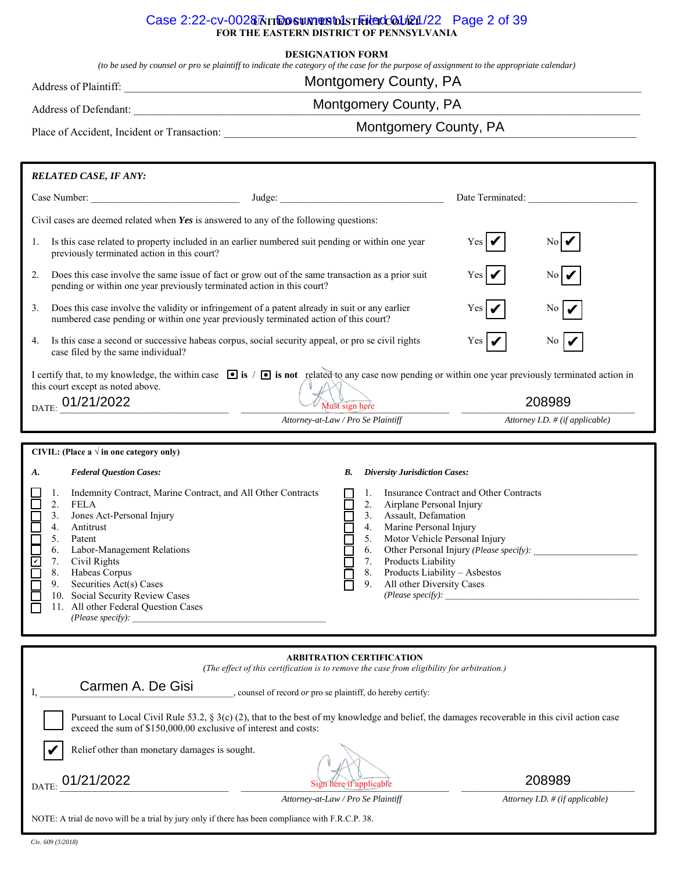#### Case 2:22-cv-00287<sub>N</sub> measurest bistricted 01/21/22 Page 2 of 39 **FOR THE EASTERN DISTRICT OF PENNSYLVANIA**

#### **DESIGNATION FORM**

*(to be used by counsel or pro se plaintiff to indicate the category of the case for the purpose of assignment to the appropriate calendar)*

# Montgomery County, PA

Address of Plaintiff: \_\_\_\_\_\_\_\_\_\_\_\_\_\_\_\_\_\_\_\_\_\_\_\_\_\_\_\_\_\_\_\_\_\_\_\_\_\_\_\_\_\_\_\_\_\_\_\_\_\_\_\_\_\_\_\_\_\_\_\_\_\_\_\_\_\_\_\_\_\_\_\_\_\_\_\_\_\_\_\_\_\_\_\_\_\_\_\_\_\_\_\_\_\_

# Montgomery County, PA

Address of Defendant: \_\_\_\_\_\_\_\_\_\_\_\_\_\_\_\_\_\_\_\_\_\_\_\_\_\_\_\_\_\_\_\_\_\_\_\_\_\_\_\_\_\_\_\_\_\_\_\_\_\_\_\_\_\_\_\_\_\_\_\_\_\_\_\_\_\_\_\_\_\_\_\_\_\_\_\_\_\_\_\_\_\_\_\_\_\_\_\_\_\_\_\_

Montgomery County, PA

Place of Accident, Incident or Transaction: \_\_\_\_\_\_\_\_\_\_\_\_\_\_\_\_\_\_\_\_\_\_\_\_\_\_\_\_\_\_\_\_\_\_\_\_\_\_\_\_\_\_\_\_\_\_\_\_\_\_\_\_\_\_\_\_\_\_\_\_\_\_\_\_\_\_\_\_\_\_\_\_\_\_\_

|                                                                                                                                                                                                                    | <b>RELATED CASE, IF ANY:</b>                                                                                                                                                                                                                                                                                                                                                                                       |                                                                                                                                                                                                                                                                                           |                                                                                                                  |  |  |  |  |
|--------------------------------------------------------------------------------------------------------------------------------------------------------------------------------------------------------------------|--------------------------------------------------------------------------------------------------------------------------------------------------------------------------------------------------------------------------------------------------------------------------------------------------------------------------------------------------------------------------------------------------------------------|-------------------------------------------------------------------------------------------------------------------------------------------------------------------------------------------------------------------------------------------------------------------------------------------|------------------------------------------------------------------------------------------------------------------|--|--|--|--|
| Case Number:                                                                                                                                                                                                       |                                                                                                                                                                                                                                                                                                                                                                                                                    | Judge: No. 1996                                                                                                                                                                                                                                                                           | Date Terminated:                                                                                                 |  |  |  |  |
| Civil cases are deemed related when Yes is answered to any of the following questions:                                                                                                                             |                                                                                                                                                                                                                                                                                                                                                                                                                    |                                                                                                                                                                                                                                                                                           |                                                                                                                  |  |  |  |  |
| 1.                                                                                                                                                                                                                 | Is this case related to property included in an earlier numbered suit pending or within one year<br>previously terminated action in this court?                                                                                                                                                                                                                                                                    | Yes  <sub>1</sub>                                                                                                                                                                                                                                                                         |                                                                                                                  |  |  |  |  |
| 2.                                                                                                                                                                                                                 | Does this case involve the same issue of fact or grow out of the same transaction as a prior suit<br>pending or within one year previously terminated action in this court?                                                                                                                                                                                                                                        | Yes   <b>€</b>                                                                                                                                                                                                                                                                            |                                                                                                                  |  |  |  |  |
| 3.                                                                                                                                                                                                                 |                                                                                                                                                                                                                                                                                                                                                                                                                    | Does this case involve the validity or infringement of a patent already in suit or any earlier<br>numbered case pending or within one year previously terminated action of this court?                                                                                                    |                                                                                                                  |  |  |  |  |
| 4.                                                                                                                                                                                                                 | Is this case a second or successive habeas corpus, social security appeal, or pro se civil rights<br>case filed by the same individual?                                                                                                                                                                                                                                                                            | Yes  <br>N0                                                                                                                                                                                                                                                                               |                                                                                                                  |  |  |  |  |
| I certify that, to my knowledge, the within case $\bullet$ is $\prime \bullet$ is not related to any case now pending or within one year previously terminated action in<br>this court except as noted above.      |                                                                                                                                                                                                                                                                                                                                                                                                                    |                                                                                                                                                                                                                                                                                           |                                                                                                                  |  |  |  |  |
| $_{\rm{DATE:}}$ 01/21/2022                                                                                                                                                                                         |                                                                                                                                                                                                                                                                                                                                                                                                                    | Must sign here                                                                                                                                                                                                                                                                            | 208989                                                                                                           |  |  |  |  |
|                                                                                                                                                                                                                    |                                                                                                                                                                                                                                                                                                                                                                                                                    | Attorney-at-Law / Pro Se Plaintiff                                                                                                                                                                                                                                                        | Attorney I.D. # (if applicable)                                                                                  |  |  |  |  |
|                                                                                                                                                                                                                    | CIVIL: (Place a $\sqrt{ }$ in one category only)                                                                                                                                                                                                                                                                                                                                                                   |                                                                                                                                                                                                                                                                                           |                                                                                                                  |  |  |  |  |
| A.<br>⊏<br>⊑<br>$\Box$<br><b>CIPICIE</b><br>Г                                                                                                                                                                      | <b>Federal Question Cases:</b><br>Indemnity Contract, Marine Contract, and All Other Contracts<br>1.<br>2.<br><b>FELA</b><br>3.<br>Jones Act-Personal Injury<br>4.<br>Antitrust<br>5.<br>Patent<br>Labor-Management Relations<br>6.<br>7.<br>Civil Rights<br>8.<br>Habeas Corpus<br>Securities Act(s) Cases<br>9.<br>10. Social Security Review Cases<br>11. All other Federal Question Cases<br>(Please specify): | <b>Diversity Jurisdiction Cases:</b><br>В.<br>1.<br>2.<br>Airplane Personal Injury<br>Assault, Defamation<br>3.<br>Marine Personal Injury<br>4.<br>Motor Vehicle Personal Injury<br>5.<br>7. Products Liability<br>Products Liability - Asbestos<br>8.<br>All other Diversity Cases<br>9. | <b>Insurance Contract and Other Contracts</b><br>6. Other Personal Injury (Please specify):<br>(Please specify): |  |  |  |  |
| <b>ARBITRATION CERTIFICATION</b><br>(The effect of this certification is to remove the case from eligibility for arbitration.)<br>Carmen A. De Gisi<br>, counsel of record or pro se plaintiff, do hereby certify: |                                                                                                                                                                                                                                                                                                                                                                                                                    |                                                                                                                                                                                                                                                                                           |                                                                                                                  |  |  |  |  |
| Pursuant to Local Civil Rule 53.2, § 3(c) (2), that to the best of my knowledge and belief, the damages recoverable in this civil action case<br>exceed the sum of \$150,000.00 exclusive of interest and costs:   |                                                                                                                                                                                                                                                                                                                                                                                                                    |                                                                                                                                                                                                                                                                                           |                                                                                                                  |  |  |  |  |
|                                                                                                                                                                                                                    | Relief other than monetary damages is sought.                                                                                                                                                                                                                                                                                                                                                                      |                                                                                                                                                                                                                                                                                           |                                                                                                                  |  |  |  |  |
| 01/21/2022<br>DATE:                                                                                                                                                                                                |                                                                                                                                                                                                                                                                                                                                                                                                                    | Sign here if applicable<br>Attorney-at-Law / Pro Se Plaintiff                                                                                                                                                                                                                             | 208989<br>Attorney I.D. $\#$ (if applicable)                                                                     |  |  |  |  |
|                                                                                                                                                                                                                    |                                                                                                                                                                                                                                                                                                                                                                                                                    |                                                                                                                                                                                                                                                                                           |                                                                                                                  |  |  |  |  |

*Civ. 609 (5/2018)*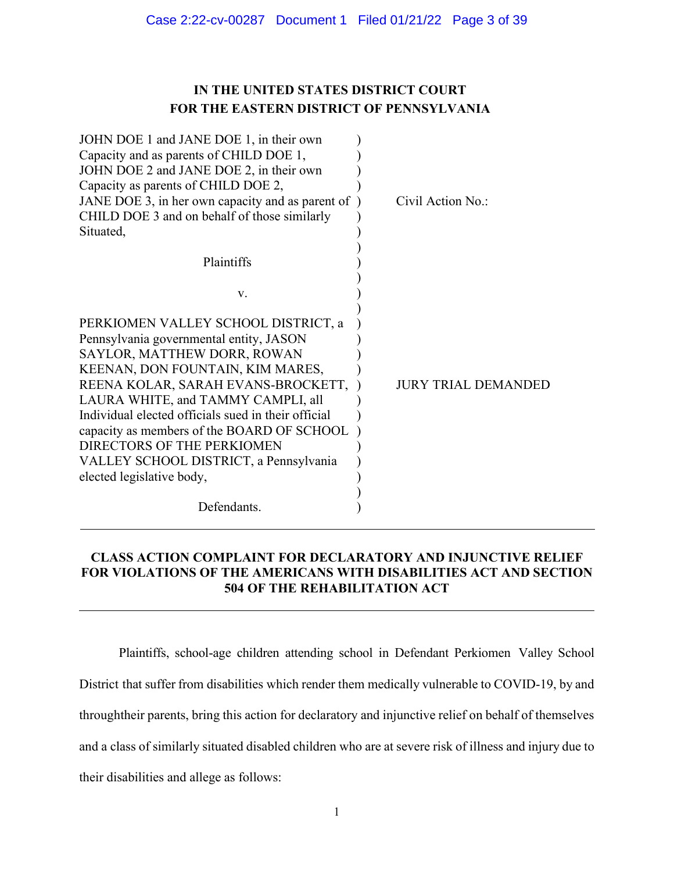# **IN THE UNITED STATES DISTRICT COURT FOR THE EASTERN DISTRICT OF PENNSYLVANIA**

| JOHN DOE 1 and JANE DOE 1, in their own<br>Capacity and as parents of CHILD DOE 1,<br>JOHN DOE 2 and JANE DOE 2, in their own<br>Capacity as parents of CHILD DOE 2,<br>JANE DOE 3, in her own capacity and as parent of<br>CHILD DOE 3 and on behalf of those similarly<br>Situated,                                                                                                                                                   | Civil Action No.:          |
|-----------------------------------------------------------------------------------------------------------------------------------------------------------------------------------------------------------------------------------------------------------------------------------------------------------------------------------------------------------------------------------------------------------------------------------------|----------------------------|
| Plaintiffs                                                                                                                                                                                                                                                                                                                                                                                                                              |                            |
| V.                                                                                                                                                                                                                                                                                                                                                                                                                                      |                            |
| PERKIOMEN VALLEY SCHOOL DISTRICT, a<br>Pennsylvania governmental entity, JASON<br>SAYLOR, MATTHEW DORR, ROWAN<br>KEENAN, DON FOUNTAIN, KIM MARES,<br>REENA KOLAR, SARAH EVANS-BROCKETT,<br>LAURA WHITE, and TAMMY CAMPLI, all<br>Individual elected officials sued in their official<br>capacity as members of the BOARD OF SCHOOL<br>DIRECTORS OF THE PERKIOMEN<br>VALLEY SCHOOL DISTRICT, a Pennsylvania<br>elected legislative body, | <b>JURY TRIAL DEMANDED</b> |
| Defendants.                                                                                                                                                                                                                                                                                                                                                                                                                             |                            |

# **CLASS ACTION COMPLAINT FOR DECLARATORY AND INJUNCTIVE RELIEF FOR VIOLATIONS OF THE AMERICANS WITH DISABILITIES ACT AND SECTION 504 OF THE REHABILITATION ACT**

Plaintiffs, school-age children attending school in Defendant Perkiomen Valley School District that suffer from disabilities which render them medically vulnerable to COVID-19, by and throughtheir parents, bring this action for declaratory and injunctive relief on behalf of themselves and a class of similarly situated disabled children who are at severe risk of illness and injury due to their disabilities and allege as follows: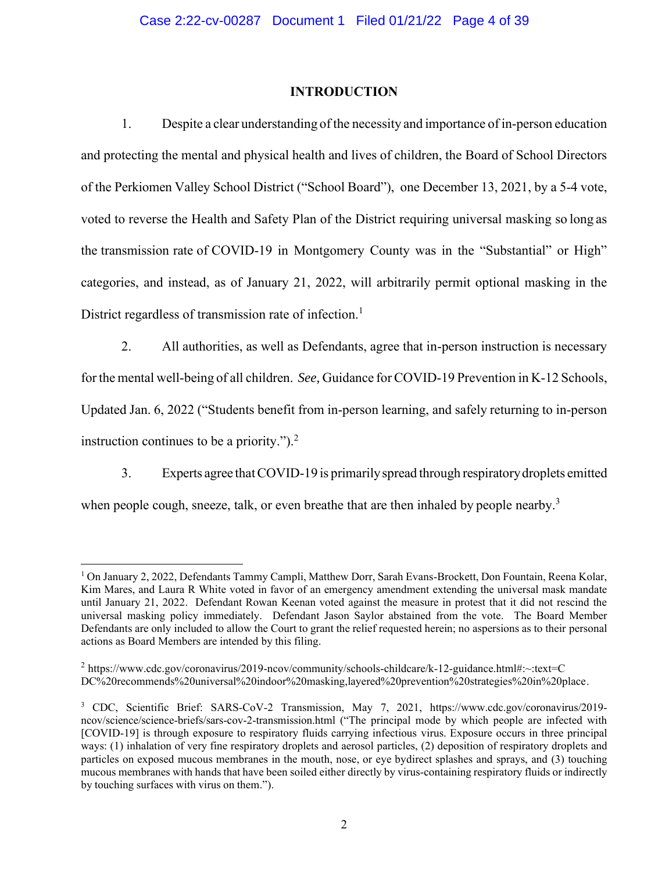# **INTRODUCTION**

1. Despite a clear understanding of the necessity and importance of in-person education and protecting the mental and physical health and lives of children, the Board of School Directors of the Perkiomen Valley School District ("School Board"), one December 13, 2021, by a 5-4 vote, voted to reverse the Health and Safety Plan of the District requiring universal masking so long as the transmission rate of COVID-19 in Montgomery County was in the "Substantial" or High" categories, and instead, as of January 21, 2022, will arbitrarily permit optional masking in the District regardless of transmission rate of infection.<sup>1</sup>

2. All authorities, as well as Defendants, agree that in-person instruction is necessary forthe mental well-being of all children. *See,* Guidance forCOVID-19 Prevention in K-12 Schools, Updated Jan. 6, 2022 ("Students benefit from in-person learning, and safely returning to in-person instruction continues to be a priority."). $<sup>2</sup>$ </sup>

3. Experts agree thatCOVID-19 is primarilyspread through respiratorydroplets emitted when people cough, sneeze, talk, or even breathe that are then inhaled by people nearby.<sup>3</sup>

<sup>1</sup> On January 2, 2022, Defendants Tammy Campli, Matthew Dorr, Sarah Evans-Brockett, Don Fountain, Reena Kolar, Kim Mares, and Laura R White voted in favor of an emergency amendment extending the universal mask mandate until January 21, 2022. Defendant Rowan Keenan voted against the measure in protest that it did not rescind the universal masking policy immediately. Defendant Jason Saylor abstained from the vote. The Board Member Defendants are only included to allow the Court to grant the relief requested herein; no aspersions as to their personal actions as Board Members are intended by this filing.

 $2 \text{ https://www.cdc.gov/coronavirus/2019-ncov/community/schools-childcare/k-12-guidance.html#:~:textext=CC}$ DC%20recommends%20universal%20indoor%20masking,layered%20prevention%20strategies%20in%20place.

<sup>3</sup> CDC, Scientific Brief: SARS-CoV-2 Transmission, May 7, 2021, htt[ps://www.cdc.gov/coronavirus/2019](http://www.cdc.gov/coronavirus/2019-ncov/science/science-briefs/sars-cov-2-transmission.html) [ncov/science/science-briefs/sars-cov-2-transmission.html \(](http://www.cdc.gov/coronavirus/2019-ncov/science/science-briefs/sars-cov-2-transmission.html)"The principal mode by which people are infected with [COVID-19] is through exposure to respiratory fluids carrying infectious virus. Exposure occurs in three principal ways: (1) inhalation of very fine respiratory droplets and aerosol particles, (2) deposition of respiratory droplets and particles on exposed mucous membranes in the mouth, nose, or eye bydirect splashes and sprays, and (3) touching mucous membranes with hands that have been soiled either directly by virus-containing respiratory fluids or indirectly by touching surfaces with virus on them.").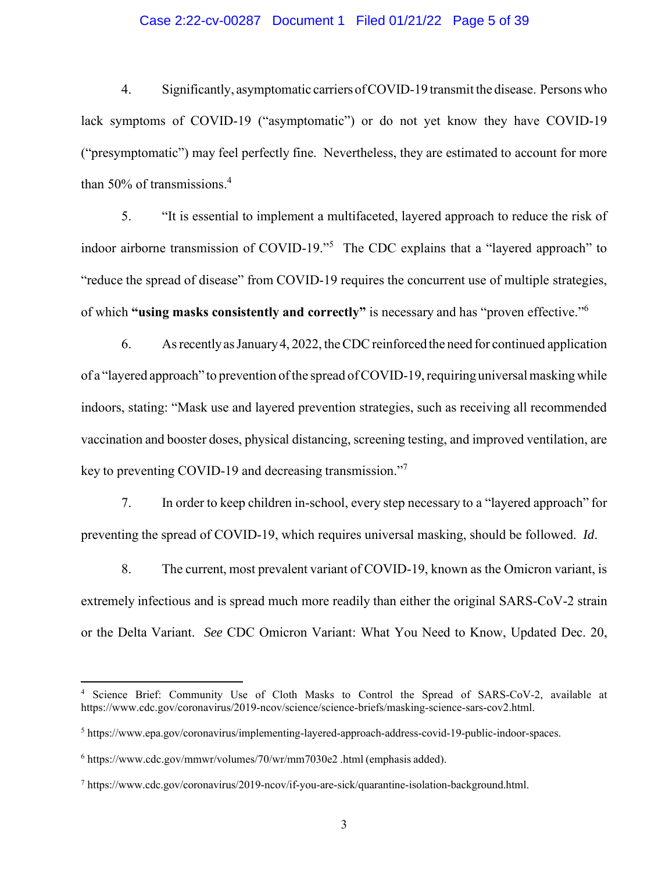# Case 2:22-cv-00287 Document 1 Filed 01/21/22 Page 5 of 39

4. Significantly, asymptomatic carriersofCOVID-19 transmit the disease. Persons who lack symptoms of COVID-19 ("asymptomatic") or do not yet know they have COVID-19 ("presymptomatic") may feel perfectly fine. Nevertheless, they are estimated to account for more than 50% of transmissions. 4

5. "It is essential to implement a multifaceted, layered approach to reduce the risk of indoor airborne transmission of COVID-19."<sup>5</sup> The CDC explains that a "layered approach" to "reduce the spread of disease" from COVID-19 requires the concurrent use of multiple strategies, of which **"using masks consistently and correctly"** is necessary and has "proven effective." 6

6. AsrecentlyasJanuary4, 2022, theCDCreinforced the need for continued application of a "layered approach" to prevention of the spread of COVID-19, requiring universal masking while indoors, stating: "Mask use and layered prevention strategies, such as receiving all recommended vaccination and booster doses, physical distancing, screening testing, and improved ventilation, are key to preventing COVID-19 and decreasing transmission."<sup>7</sup>

7. In order to keep children in-school, every step necessary to a "layered approach" for preventing the spread of COVID-19, which requires universal masking, should be followed. *Id*.

8. The current, most prevalent variant of COVID-19, known as the Omicron variant, is extremely infectious and is spread much more readily than either the original SARS-CoV-2 strain or the Delta Variant. *See* CDC Omicron Variant: What You Need to Know, Updated Dec. 20,

Science Brief: Community Use of Cloth Masks to Control the Spread of SARS-CoV-2, available at htt[ps://www.cdc.gov/coronavirus/2019-ncov/science/science-briefs/masking-science-sars-cov2.html.](http://www.cdc.gov/coronavirus/2019-ncov/science/science-briefs/masking-science-sars-cov2.html)

<sup>5</sup> htt[ps://www.epa.gov/coronavirus/implementing-layered-approach-address-covid-19-public-indoor-spaces.](http://www.epa.gov/coronavirus/implementing-layered-approach-address-covid-19-public-indoor-spaces)

<sup>6</sup> htt[ps://www.cdc.gov/mmwr/volumes/70/wr/mm7030e2](http://www.cdc.gov/mmwr/volumes/70/wr/mm7030e2) .html (emphasis added).

<sup>7</sup> http[s://www.cdc.gov/coronavirus/2019-ncov/if-you-are-sick/quarantine-isolation-background.html.](http://www.cdc.gov/coronavirus/2019-ncov/if-you-are-sick/quarantine-isolation-background.html)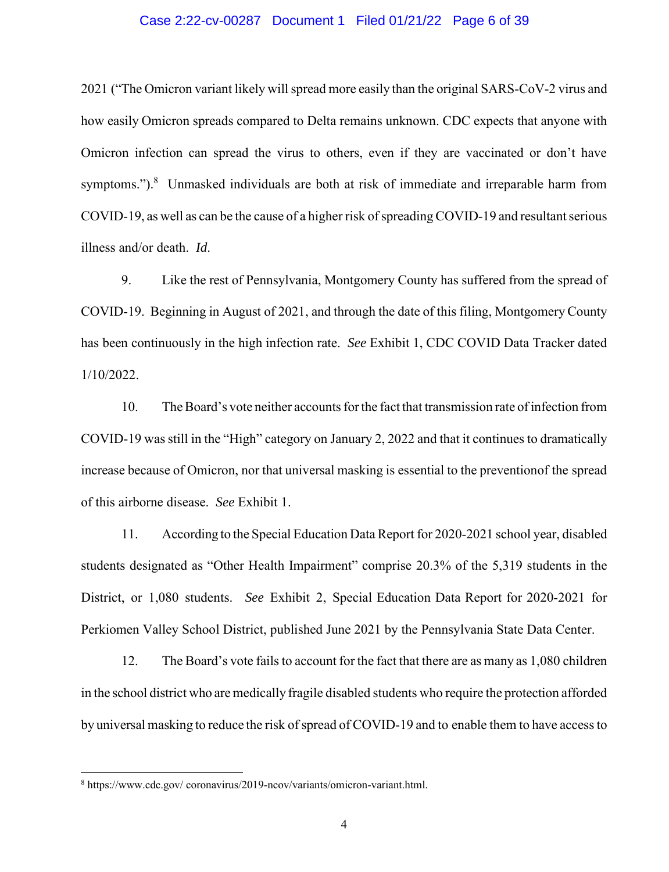## Case 2:22-cv-00287 Document 1 Filed 01/21/22 Page 6 of 39

2021 ("The Omicron variant likely willspread more easily than the original SARS-CoV-2 virus and how easily Omicron spreads compared to Delta remains unknown. CDC expects that anyone with Omicron infection can spread the virus to others, even if they are vaccinated or don't have symptoms.").<sup>8</sup> Unmasked individuals are both at risk of immediate and irreparable harm from COVID-19, as well as can be the cause of a higher risk of spreading COVID-19 and resultant serious illness and/or death. *Id*.

9. Like the rest of Pennsylvania, Montgomery County has suffered from the spread of COVID-19. Beginning in August of 2021, and through the date of this filing, Montgomery County has been continuously in the high infection rate. *See* Exhibit 1, CDC COVID Data Tracker dated 1/10/2022.

10. The Board's vote neither accounts for the fact that transmission rate of infection from COVID-19 was still in the "High" category on January 2, 2022 and that it continues to dramatically increase because of Omicron, nor that universal masking is essential to the preventionof the spread of this airborne disease. *See* Exhibit 1.

11. According to the Special Education Data Report for 2020-2021 school year, disabled students designated as "Other Health Impairment" comprise 20.3% of the 5,319 students in the District, or 1,080 students. *See* Exhibit 2, Special Education Data Report for 2020-2021 for Perkiomen Valley School District, published June 2021 by the Pennsylvania State Data Center.

12. The Board's vote fails to account for the fact that there are as many as 1,080 children in the school district who are medically fragile disabled students who require the protection afforded by universal masking to reduce the risk of spread of COVID-19 and to enable them to have access to

<sup>8</sup> htt[ps://www.cdc.gov/](http://www.cdc.gov/) coronavirus/2019-ncov/variants/omicron-variant.html.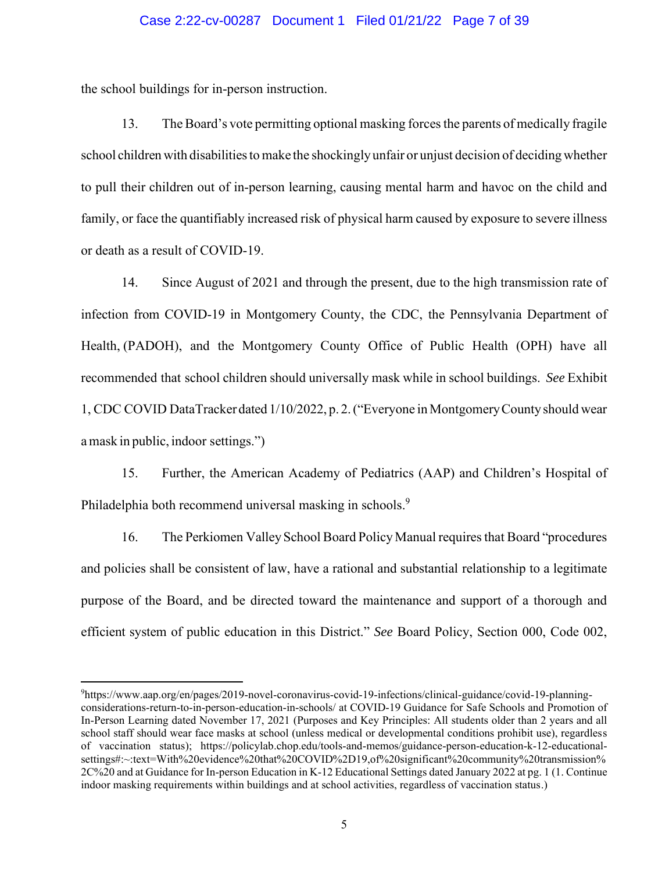# Case 2:22-cv-00287 Document 1 Filed 01/21/22 Page 7 of 39

the school buildings for in-person instruction.

13. TheBoard's vote permitting optional masking forcesthe parents of medically fragile school children with disabilities to make the shockingly unfair or unjust decision of deciding whether to pull their children out of in-person learning, causing mental harm and havoc on the child and family, or face the quantifiably increased risk of physical harm caused by exposure to severe illness or death as a result of COVID-19.

14. Since August of 2021 and through the present, due to the high transmission rate of infection from COVID-19 in Montgomery County, the CDC, the Pennsylvania Department of Health, (PADOH), and the Montgomery County Office of Public Health (OPH) have all recommended that school children should universally mask while in school buildings. *See* Exhibit 1, CDC COVID DataTracker dated 1/10/2022, p. 2.("Everyone in MontgomeryCountyshould wear a mask in public, indoor settings.")

15. Further, the American Academy of Pediatrics (AAP) and Children's Hospital of Philadelphia both recommend universal masking in schools.<sup>9</sup>

16. The Perkiomen Valley School Board Policy Manual requires that Board "procedures" and policies shall be consistent of law, have a rational and substantial relationship to a legitimate purpose of the Board, and be directed toward the maintenance and support of a thorough and efficient system of public education in this District." *See* Board Policy, Section 000, Code 002,

<sup>9</sup>https://www.aap.org/en/pages/2019-novel-coronavirus-covid-19-infections/clinical-guidance/covid-19-planningconsiderations-return-to-in-person-education-in-schools/ at COVID-19 Guidance for Safe Schools and Promotion of In-Person Learning dated November 17, 2021 (Purposes and Key Principles: All students older than 2 years and all school staff should wear face masks at school (unless medical or developmental conditions prohibit use), regardless of vaccination status); https://policylab.chop.edu/tools-and-memos/guidance-person-education-k-12-educationalsettings#:~:text=With%20evidence%20that%20COVID%2D19,of%20significant%20community%20transmission% 2C%20 and at Guidance for In-person Education in K-12 Educational Settings dated January 2022 at pg. 1 (1. Continue indoor masking requirements within buildings and at school activities, regardless of vaccination status.)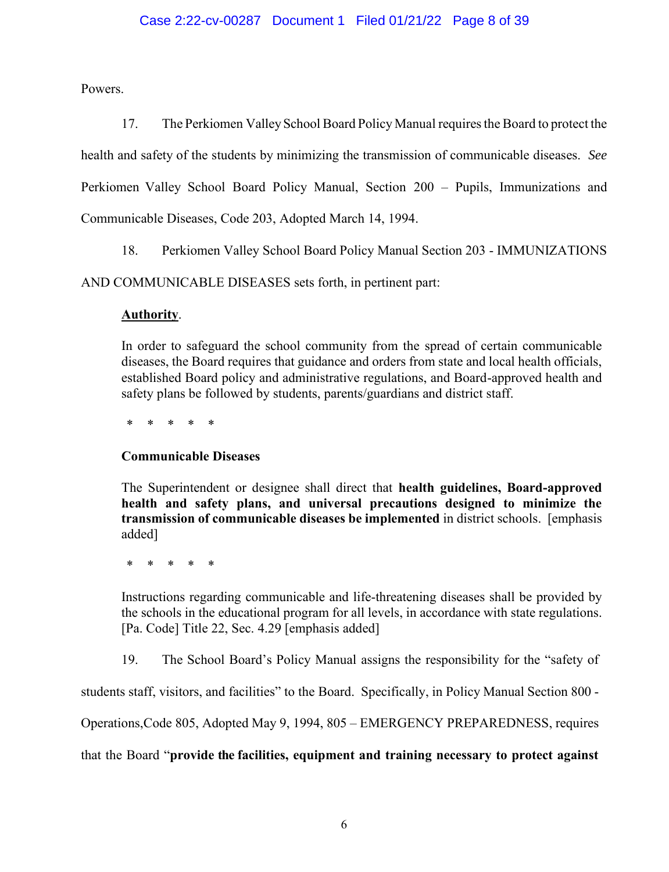# Case 2:22-cv-00287 Document 1 Filed 01/21/22 Page 8 of 39

Powers.

17. The Perkiomen ValleySchool Board Policy Manual requiresthe Board to protect the health and safety of the students by minimizing the transmission of communicable diseases. *See* Perkiomen Valley School Board Policy Manual, Section 200 – Pupils, Immunizations and Communicable Diseases, Code 203, Adopted March 14, 1994.

18. Perkiomen Valley School Board Policy Manual Section 203 - IMMUNIZATIONS

AND COMMUNICABLE DISEASES sets forth, in pertinent part:

# **Authority**.

In order to safeguard the school community from the spread of certain communicable diseases, the Board requires that guidance and orders from state and local health officials, established Board policy and administrative regulations, and Board-approved health and safety plans be followed by students, parents/guardians and district staff.

\* \* \* \* \*

# **Communicable Diseases**

The Superintendent or designee shall direct that **health guidelines, Board-approved health and safety plans, and universal precautions designed to minimize the transmission of communicable diseases be implemented** in district schools. [emphasis added]

\* \* \* \* \*

Instructions regarding communicable and life-threatening diseases shall be provided by the schools in the educational program for all levels, in accordance with state regulations. [Pa. Code] Title 22, Sec. 4.29 [emphasis added]

19. The School Board's Policy Manual assigns the responsibility for the "safety of

students staff, visitors, and facilities" to the Board. Specifically, in Policy Manual Section 800 -

Operations,Code 805, Adopted May 9, 1994, 805 – EMERGENCY PREPAREDNESS, requires

that the Board "**provide the facilities, equipment and training necessary to protect against**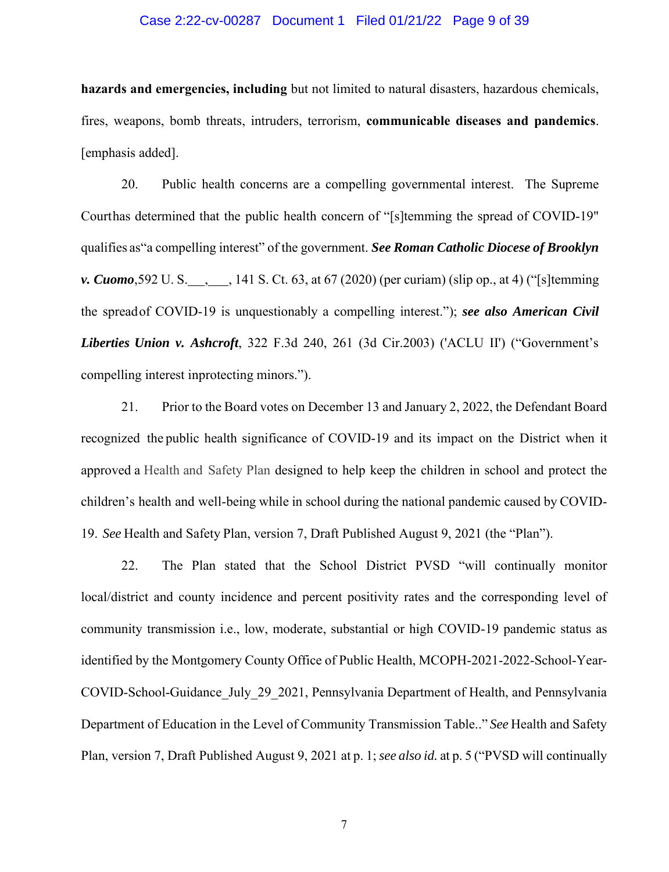## Case 2:22-cv-00287 Document 1 Filed 01/21/22 Page 9 of 39

**hazards and emergencies, including** but not limited to natural disasters, hazardous chemicals, fires, weapons, bomb threats, intruders, terrorism, **communicable diseases and pandemics**. [emphasis added].

20. Public health concerns are a compelling governmental interest. The Supreme Courthas determined that the public health concern of "[s]temming the spread of COVID-19" qualifies as"a compelling interest" of the government. *See Roman Catholic Diocese of Brooklyn v. Cuomo*,592 U. S. , , 141 S. Ct. 63, at 67 (2020) (per curiam) (slip op., at 4) ("[s]temming the spreadof COVID-19 is unquestionably a compelling interest."); *see also American Civil Liberties Union v. Ashcroft*, 322 F.3d 240, 261 (3d Cir.2003) ('ACLU II') ("Government's compelling interest inprotecting minors.").

21. Prior to the Board votes on December 13 and January 2, 2022, the Defendant Board recognized the public health significance of COVID-19 and its impact on the District when it approved a Health and Safety Plan designed to help keep the children in school and protect the children's health and well-being while in school during the national pandemic caused by COVID-19. *See* Health and Safety Plan, version 7, Draft Published August 9, 2021 (the "Plan").

22. The Plan stated that the School District PVSD "will continually monitor local/district and county incidence and percent positivity rates and the corresponding level of community transmission i.e., low, moderate, substantial or high COVID-19 pandemic status as identified by the Montgomery County Office of Public Health, MCOPH-2021-2022-School-Year-COVID-School-Guidance\_July\_29\_2021, Pennsylvania Department of Health, and Pennsylvania Department of Education in the Level of Community Transmission Table.." *See* Health and Safety Plan, version 7, Draft Published August 9, 2021 at p. 1;*see also id.* at p. 5 ("PVSD will continually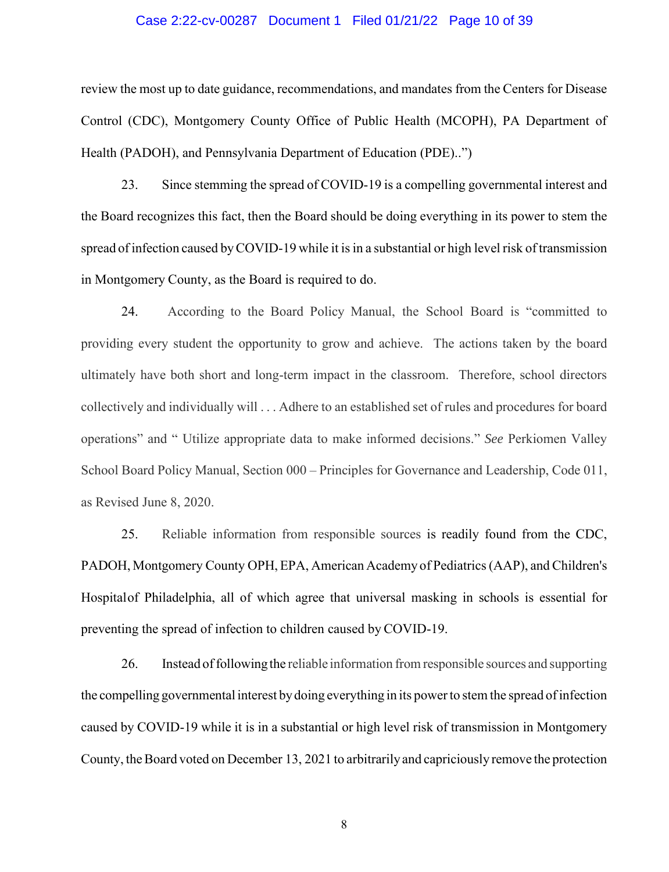## Case 2:22-cv-00287 Document 1 Filed 01/21/22 Page 10 of 39

review the most up to date guidance, recommendations, and mandates from the Centers for Disease Control (CDC), Montgomery County Office of Public Health (MCOPH), PA Department of Health (PADOH), and Pennsylvania Department of Education (PDE)..")

23. Since stemming the spread of COVID-19 is a compelling governmental interest and the Board recognizes this fact, then the Board should be doing everything in its power to stem the spread of infection caused byCOVID-19 while it isin a substantial or high level risk of transmission in Montgomery County, as the Board is required to do.

24. According to the Board Policy Manual, the School Board is "committed to providing every student the opportunity to grow and achieve. The actions taken by the board ultimately have both short and long-term impact in the classroom. Therefore, school directors collectively and individually will . . . Adhere to an established set of rules and procedures for board operations" and " Utilize appropriate data to make informed decisions." *See* Perkiomen Valley School Board Policy Manual, Section 000 – Principles for Governance and Leadership, Code 011, as Revised June 8, 2020.

25. Reliable information from responsible sources is readily found from the CDC, PADOH, Montgomery County OPH, EPA, American Academy of Pediatrics(AAP), and Children's Hospitalof Philadelphia, all of which agree that universal masking in schools is essential for preventing the spread of infection to children caused by COVID-19.

26. Instead of following the reliable information from responsible sources and supporting the compelling governmental interest by doing everything in its power to stem the spread of infection caused by COVID-19 while it is in a substantial or high level risk of transmission in Montgomery County, the Board voted on December 13, 2021 to arbitrarily and capriciously remove the protection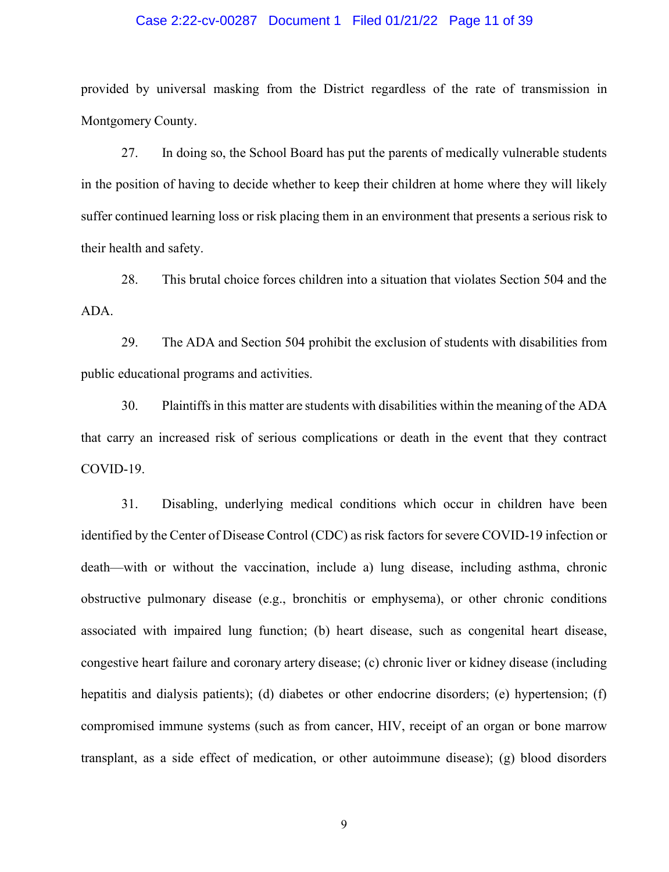# Case 2:22-cv-00287 Document 1 Filed 01/21/22 Page 11 of 39

provided by universal masking from the District regardless of the rate of transmission in Montgomery County.

27. In doing so, the School Board has put the parents of medically vulnerable students in the position of having to decide whether to keep their children at home where they will likely suffer continued learning loss or risk placing them in an environment that presents a serious risk to their health and safety.

28. This brutal choice forces children into a situation that violates Section 504 and the ADA.

29. The ADA and Section 504 prohibit the exclusion of students with disabilities from public educational programs and activities.

30. Plaintiffsin this matter are students with disabilities within the meaning of the ADA that carry an increased risk of serious complications or death in the event that they contract COVID-19.

31. Disabling, underlying medical conditions which occur in children have been identified by the Center of Disease Control (CDC) as risk factors for severe COVID-19 infection or death—with or without the vaccination, include a) lung disease, including asthma, chronic obstructive pulmonary disease (e.g., bronchitis or emphysema), or other chronic conditions associated with impaired lung function; (b) heart disease, such as congenital heart disease, congestive heart failure and coronary artery disease; (c) chronic liver or kidney disease (including hepatitis and dialysis patients); (d) diabetes or other endocrine disorders; (e) hypertension; (f) compromised immune systems (such as from cancer, HIV, receipt of an organ or bone marrow transplant, as a side effect of medication, or other autoimmune disease); (g) blood disorders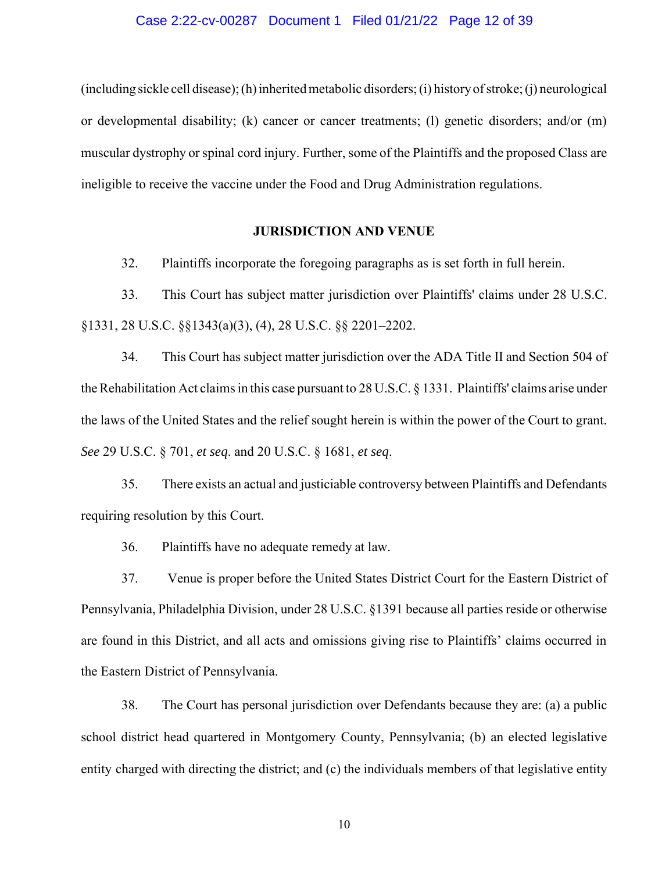## Case 2:22-cv-00287 Document 1 Filed 01/21/22 Page 12 of 39

(including sickle cell disease);(h)inheritedmetabolic disorders;(i) historyofstroke;(j) neurological or developmental disability; (k) cancer or cancer treatments; (l) genetic disorders; and/or (m) muscular dystrophy or spinal cord injury. Further, some of the Plaintiffs and the proposed Class are ineligible to receive the vaccine under the Food and Drug Administration regulations.

#### **JURISDICTION AND VENUE**

32. Plaintiffs incorporate the foregoing paragraphs as is set forth in full herein.

33. This Court has subject matter jurisdiction over Plaintiffs' claims under 28 U.S.C. §1331, 28 U.S.C. §§1343(a)(3), (4), 28 U.S.C. §§ 2201–2202.

34. This Court has subject matter jurisdiction over the ADA Title II and Section 504 of the Rehabilitation Act claims in this case pursuant to 28 U.S.C. § 1331. Plaintiffs' claims arise under the laws of the United States and the relief sought herein is within the power of the Court to grant. *See* 29 U.S.C. § 701, *et seq*. and 20 U.S.C. § 1681, *et seq*.

35. There exists an actual and justiciable controversy between Plaintiffs and Defendants requiring resolution by this Court.

36. Plaintiffs have no adequate remedy at law.

37. Venue is proper before the United States District Court for the Eastern District of Pennsylvania, Philadelphia Division, under 28 U.S.C. §1391 because all parties reside or otherwise are found in this District, and all acts and omissions giving rise to Plaintiffs' claims occurred in the Eastern District of Pennsylvania.

38. The Court has personal jurisdiction over Defendants because they are: (a) a public school district head quartered in Montgomery County, Pennsylvania; (b) an elected legislative entity charged with directing the district; and (c) the individuals members of that legislative entity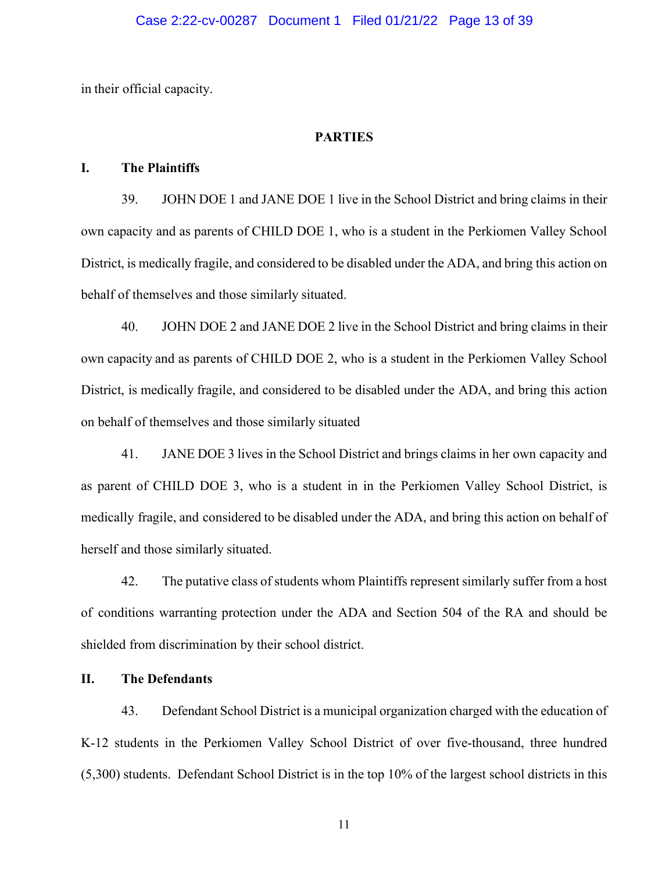in their official capacity.

# **PARTIES**

# **I. The Plaintiffs**

39. JOHN DOE 1 and JANE DOE 1 live in the School District and bring claims in their own capacity and as parents of CHILD DOE 1, who is a student in the Perkiomen Valley School District, is medically fragile, and considered to be disabled under the ADA, and bring this action on behalf of themselves and those similarly situated.

40. JOHN DOE 2 and JANE DOE 2 live in the School District and bring claims in their own capacity and as parents of CHILD DOE 2, who is a student in the Perkiomen Valley School District, is medically fragile, and considered to be disabled under the ADA, and bring this action on behalf of themselves and those similarly situated

41. JANE DOE 3 lives in the School District and brings claims in her own capacity and as parent of CHILD DOE 3, who is a student in in the Perkiomen Valley School District, is medically fragile, and considered to be disabled under the ADA, and bring this action on behalf of herself and those similarly situated.

42. The putative class of students whom Plaintiffs represent similarly suffer from a host of conditions warranting protection under the ADA and Section 504 of the RA and should be shielded from discrimination by their school district.

# **II. The Defendants**

43. Defendant School District is a municipal organization charged with the education of K-12 students in the Perkiomen Valley School District of over five-thousand, three hundred (5,300) students. Defendant School District is in the top 10% of the largest school districts in this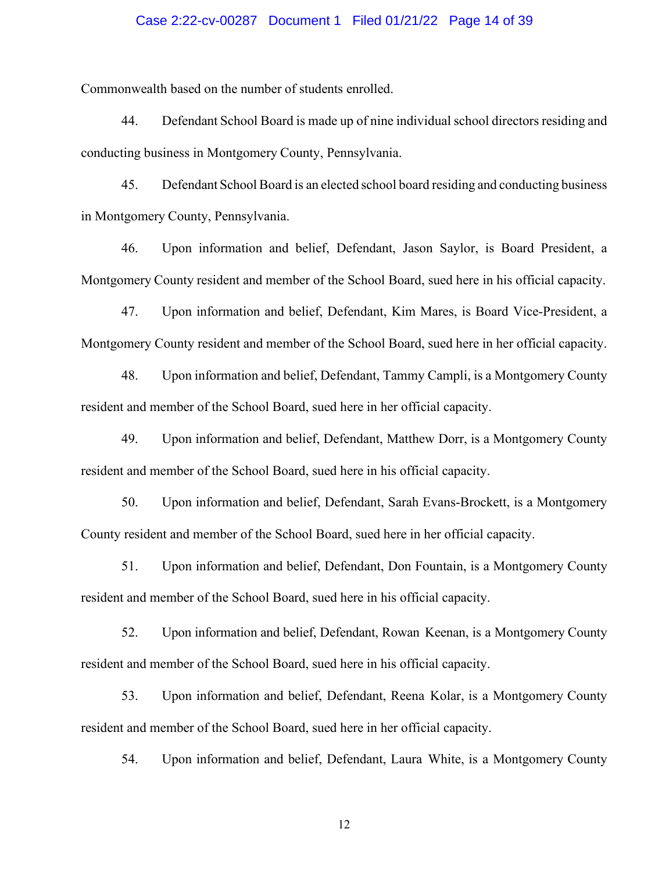## Case 2:22-cv-00287 Document 1 Filed 01/21/22 Page 14 of 39

Commonwealth based on the number of students enrolled.

44. Defendant School Board is made up of nine individual school directors residing and conducting business in Montgomery County, Pennsylvania.

45. Defendant School Board is an elected school board residing and conducting business in Montgomery County, Pennsylvania.

46. Upon information and belief, Defendant, Jason Saylor, is Board President, a Montgomery County resident and member of the School Board, sued here in his official capacity.

47. Upon information and belief, Defendant, Kim Mares, is Board Vice-President, a Montgomery County resident and member of the School Board, sued here in her official capacity.

48. Upon information and belief, Defendant, Tammy Campli, is a Montgomery County resident and member of the School Board, sued here in her official capacity.

49. Upon information and belief, Defendant, Matthew Dorr, is a Montgomery County resident and member of the School Board, sued here in his official capacity.

50. Upon information and belief, Defendant, Sarah Evans-Brockett, is a Montgomery County resident and member of the School Board, sued here in her official capacity.

51. Upon information and belief, Defendant, Don Fountain, is a Montgomery County resident and member of the School Board, sued here in his official capacity.

52. Upon information and belief, Defendant, Rowan Keenan, is a Montgomery County resident and member of the School Board, sued here in his official capacity.

53. Upon information and belief, Defendant, Reena Kolar, is a Montgomery County resident and member of the School Board, sued here in her official capacity.

54. Upon information and belief, Defendant, Laura White, is a Montgomery County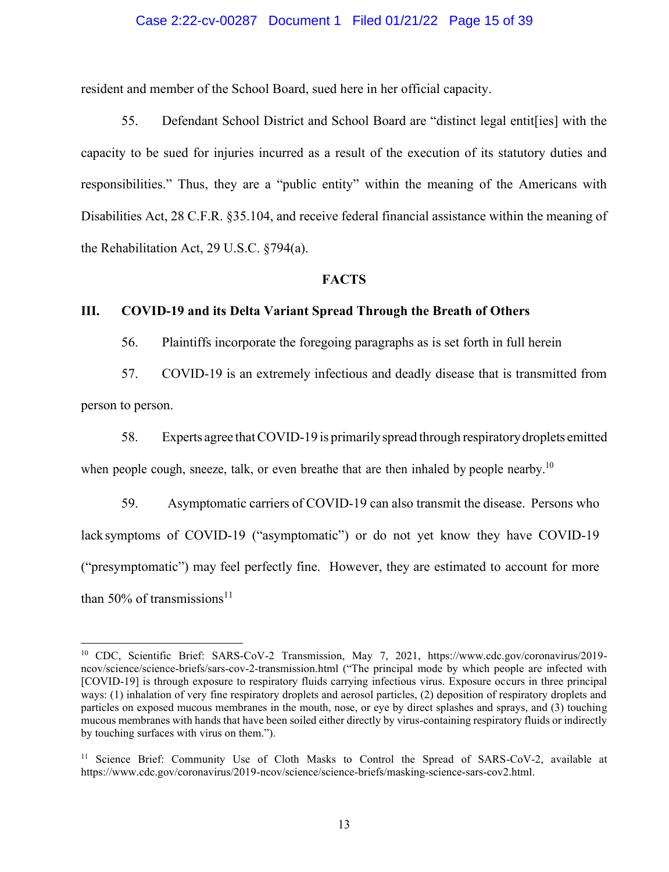# Case 2:22-cv-00287 Document 1 Filed 01/21/22 Page 15 of 39

resident and member of the School Board, sued here in her official capacity.

55. Defendant School District and School Board are "distinct legal entit[ies] with the capacity to be sued for injuries incurred as a result of the execution of its statutory duties and responsibilities." Thus, they are a "public entity" within the meaning of the Americans with Disabilities Act, 28 C.F.R. §35.104, and receive federal financial assistance within the meaning of the Rehabilitation Act, 29 U.S.C. §794(a).

#### **FACTS**

# **III. COVID-19 and its Delta Variant Spread Through the Breath of Others**

56. Plaintiffs incorporate the foregoing paragraphs as is set forth in full herein

57. COVID-19 is an extremely infectious and deadly disease that is transmitted from

person to person.

58. Experts agree thatCOVID-19 is primarilyspread through respiratorydroplets emitted when people cough, sneeze, talk, or even breathe that are then inhaled by people nearby.<sup>10</sup>

59. Asymptomatic carriers of COVID-19 can also transmit the disease. Persons who lacksymptoms of COVID-19 ("asymptomatic") or do not yet know they have COVID-19 ("presymptomatic") may feel perfectly fine. However, they are estimated to account for more than 50% of transmissions<sup>11</sup>

<sup>10</sup> CDC, Scientific Brief: SARS-CoV-2 Transmission, May 7, 2021, https://www.cdc.gov/coronavirus/2019 ncov/science/science-briefs/sars-cov-2-transmission.html ("The principal mode by which people are infected with [COVID-19] is through exposure to respiratory fluids carrying infectious virus. Exposure occurs in three principal ways: (1) inhalation of very fine respiratory droplets and aerosol particles, (2) deposition of respiratory droplets and particles on exposed mucous membranes in the mouth, nose, or eye by direct splashes and sprays, and (3) touching mucous membranes with hands that have been soiled either directly by virus-containing respiratory fluids or indirectly by touching surfaces with virus on them.").

<sup>&</sup>lt;sup>11</sup> Science Brief: Community Use of Cloth Masks to Control the Spread of SARS-CoV-2, available at https://www.cdc.gov/coronavirus/2019-ncov/science/science-briefs/masking-science-sars-cov2.html.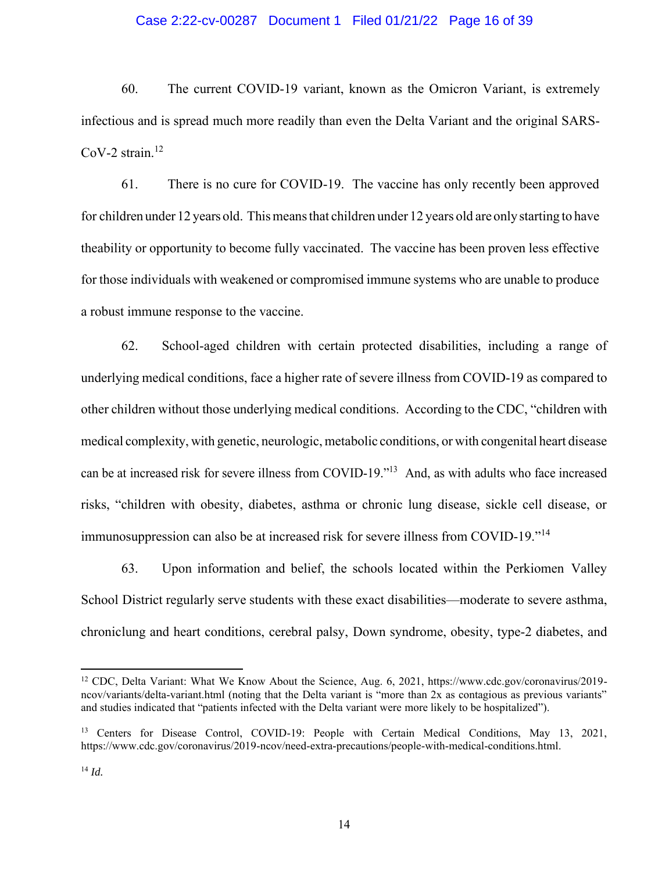# Case 2:22-cv-00287 Document 1 Filed 01/21/22 Page 16 of 39

60. The current COVID-19 variant, known as the Omicron Variant, is extremely infectious and is spread much more readily than even the Delta Variant and the original SARS- $CoV-2 strain.<sup>12</sup>$ 

61. There is no cure for COVID-19. The vaccine has only recently been approved for children under 12 years old. This means that children under 12 years old are only starting to have theability or opportunity to become fully vaccinated. The vaccine has been proven less effective for those individuals with weakened or compromised immune systems who are unable to produce a robust immune response to the vaccine.

62. School-aged children with certain protected disabilities, including a range of underlying medical conditions, face a higher rate of severe illness from COVID-19 as compared to other children without those underlying medical conditions. According to the CDC, "children with medical complexity, with genetic, neurologic, metabolic conditions, or with congenital heart disease can be at increased risk for severe illness from COVID-19." <sup>13</sup> And, as with adults who face increased risks, "children with obesity, diabetes, asthma or chronic lung disease, sickle cell disease, or immunosuppression can also be at increased risk for severe illness from COVID-19." 14

63. Upon information and belief, the schools located within the Perkiomen Valley School District regularly serve students with these exact disabilities—moderate to severe asthma, chroniclung and heart conditions, cerebral palsy, Down syndrome, obesity, type-2 diabetes, and

<sup>12</sup> CDC, Delta Variant: What We Know About the Science, Aug. 6, 2021, https://www.cdc.gov/coronavirus/2019 ncov/variants/delta-variant.html (noting that the Delta variant is "more than 2x as contagious as previous variants" and studies indicated that "patients infected with the Delta variant were more likely to be hospitalized").

<sup>&</sup>lt;sup>13</sup> Centers for Disease Control, COVID-19: People with Certain Medical Conditions, May 13, 2021, https://www.cdc.gov/coronavirus/2019-ncov/need-extra-precautions/people-with-medical-conditions.html.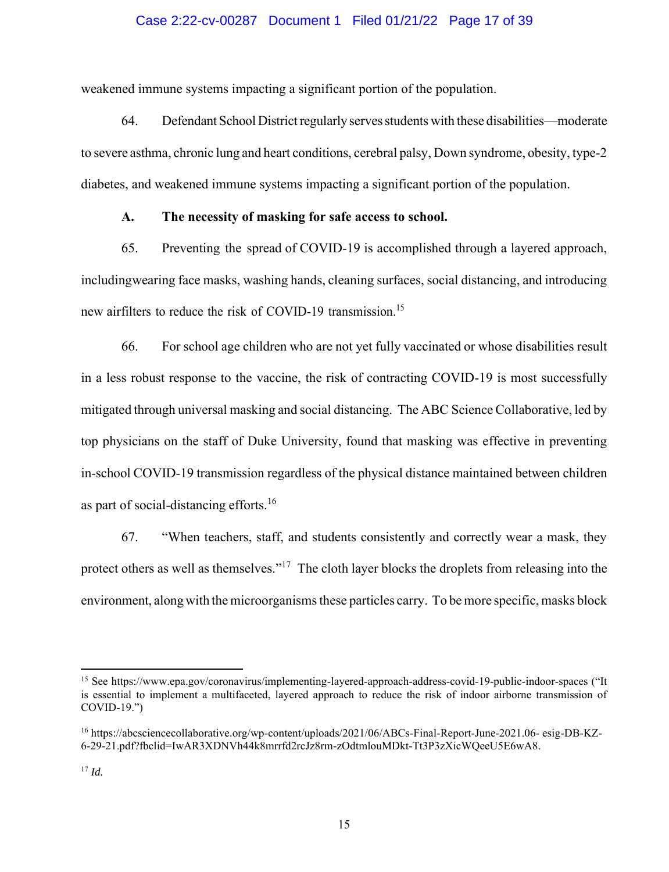# Case 2:22-cv-00287 Document 1 Filed 01/21/22 Page 17 of 39

weakened immune systems impacting a significant portion of the population.

64. Defendant School District regularly serves students with these disabilities—moderate to severe asthma, chronic lung and heart conditions, cerebral palsy, Down syndrome, obesity, type-2 diabetes, and weakened immune systems impacting a significant portion of the population.

### **A. The necessity of masking for safe access to school.**

65. Preventing the spread of COVID-19 is accomplished through a layered approach, includingwearing face masks, washing hands, cleaning surfaces, social distancing, and introducing new airfilters to reduce the risk of COVID-19 transmission.<sup>15</sup>

66. For school age children who are not yet fully vaccinated or whose disabilities result in a less robust response to the vaccine, the risk of contracting COVID-19 is most successfully mitigated through universal masking and social distancing. The ABC Science Collaborative, led by top physicians on the staff of Duke University, found that masking was effective in preventing in-school COVID-19 transmission regardless of the physical distance maintained between children as part of social-distancing efforts. 16

67. "When teachers, staff, and students consistently and correctly wear a mask, they protect others as well as themselves."<sup>17</sup> The cloth layer blocks the droplets from releasing into the environment, along with the microorganisms these particles carry. To be more specific, masks block

<sup>15</sup> See https://www.epa.gov/coronavirus/implementing-layered-approach-address-covid-19-public-indoor-spaces ("It is essential to implement a multifaceted, layered approach to reduce the risk of indoor airborne transmission of COVID-19.")

<sup>16</sup> https://abcsciencecollaborative.org/wp-content/uploads/2021/06/ABCs-Final-Report-June-2021.06- esig-DB-KZ-6-29-21.pdf?fbclid=IwAR3XDNVh44k8mrrfd2rcJz8rm-zOdtmlouMDkt-Tt3P3zXicWQeeU5E6wA8.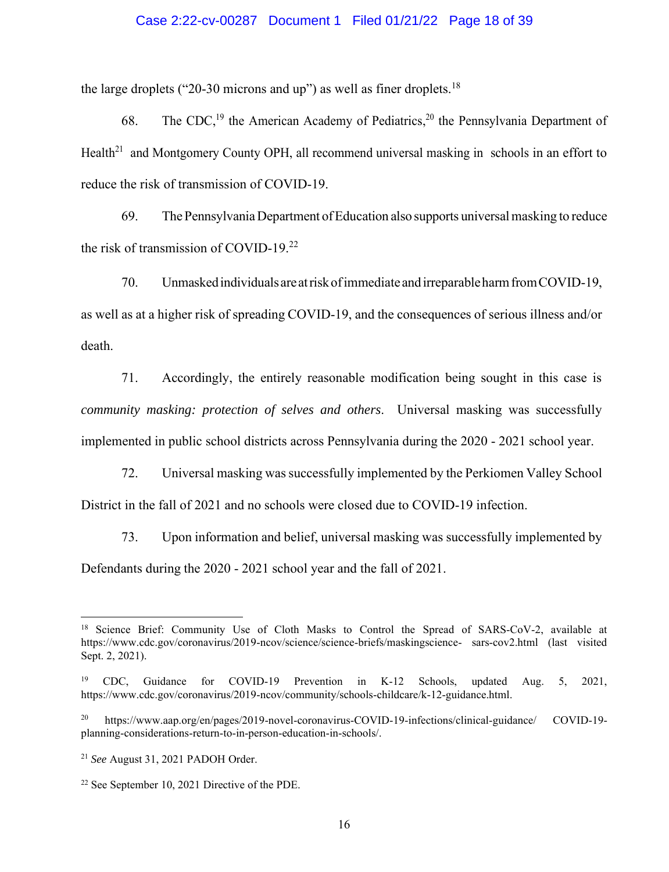# Case 2:22-cv-00287 Document 1 Filed 01/21/22 Page 18 of 39

the large droplets ("20-30 microns and up") as well as finer droplets.<sup>18</sup>

68. The CDC,<sup>19</sup> the American Academy of Pediatrics,<sup>20</sup> the Pennsylvania Department of Health<sup>21</sup> and Montgomery County OPH, all recommend universal masking in schools in an effort to reduce the risk of transmission of COVID-19.

69. ThePennsylvaniaDepartment ofEducation also supports universalmasking to reduce the risk of transmission of COVID-19. 22

70. Unmaskedindividualsare atriskofimmediate andirreparableharmfromCOVID-19, as well as at a higher risk of spreading COVID-19, and the consequences of serious illness and/or death.

71. Accordingly, the entirely reasonable modification being sought in this case is *community masking: protection of selves and others*. Universal masking was successfully implemented in public school districts across Pennsylvania during the 2020 - 2021 school year.

72. Universal masking was successfully implemented by the Perkiomen Valley School District in the fall of 2021 and no schools were closed due to COVID-19 infection.

73. Upon information and belief, universal masking was successfully implemented by Defendants during the 2020 - 2021 school year and the fall of 2021.

<sup>&</sup>lt;sup>18</sup> Science Brief: Community Use of Cloth Masks to Control the Spread of SARS-CoV-2, available at https://www.cdc.gov/coronavirus/2019-ncov/science/science-briefs/maskingscience- sars-cov2.html (last visited Sept. 2, 2021).

<sup>19</sup> CDC, Guidance for COVID-19 Prevention in K-12 Schools, updated Aug. 5, 2021, https://www.cdc.gov/coronavirus/2019-ncov/community/schools-childcare/k-12-guidance.html.

<sup>20</sup> https://www.aap.org/en/pages/2019-novel-coronavirus-COVID-19-infections/clinical-guidance/ COVID-19 planning-considerations-return-to-in-person-education-in-schools/.

<sup>21</sup> *See* August 31, 2021 PADOH Order.

<sup>22</sup> See September 10, 2021 Directive of the PDE.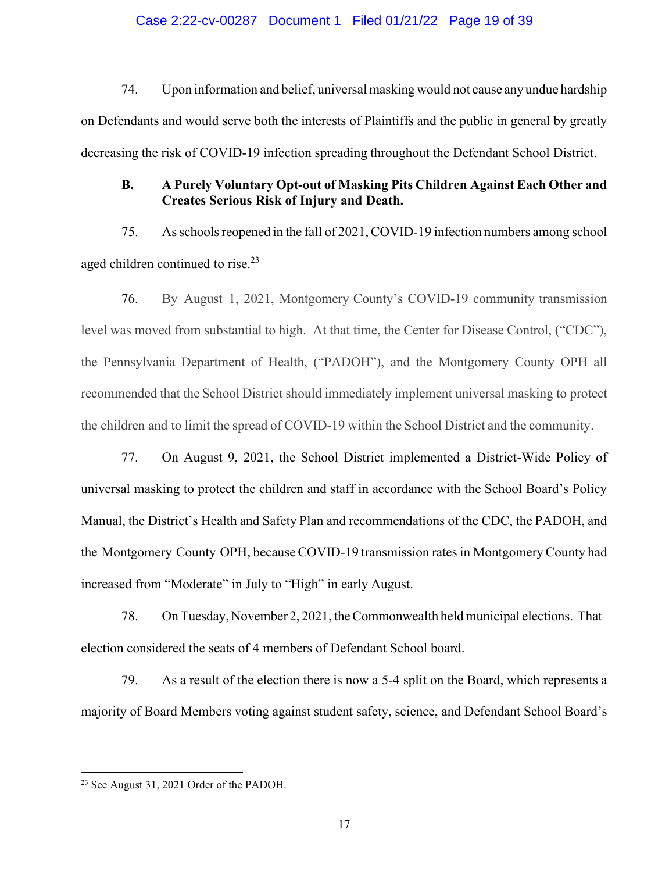# Case 2:22-cv-00287 Document 1 Filed 01/21/22 Page 19 of 39

74. Upon information and belief, universalmasking would not cause any undue hardship on Defendants and would serve both the interests of Plaintiffs and the public in general by greatly decreasing the risk of COVID-19 infection spreading throughout the Defendant School District.

# **B. A Purely Voluntary Opt-out of Masking Pits Children Against Each Other and Creates Serious Risk of Injury and Death.**

75. Asschoolsreopened in the fall of 2021, COVID-19 infection numbers among school aged children continued to rise.<sup>23</sup>

76. By August 1, 2021, Montgomery County's COVID-19 community transmission level was moved from substantial to high. At that time, the Center for Disease Control, ("CDC"), the Pennsylvania Department of Health, ("PADOH"), and the Montgomery County OPH all recommended that the School District should immediately implement universal masking to protect the children and to limit the spread of COVID-19 within the School District and the community.

77. On August 9, 2021, the School District implemented a District-Wide Policy of universal masking to protect the children and staff in accordance with the School Board's Policy Manual, the District's Health and Safety Plan and recommendations of the CDC, the PADOH, and the Montgomery County OPH, because COVID-19 transmission ratesin MontgomeryCounty had increased from "Moderate" in July to "High" in early August.

78. OnTuesday, November 2, 2021, theCommonwealth held municipal elections. That election considered the seats of 4 members of Defendant School board.

79. As a result of the election there is now a 5-4 split on the Board, which represents a majority of Board Members voting against student safety, science, and Defendant School Board's

<sup>23</sup> See August 31, 2021 Order of the PADOH.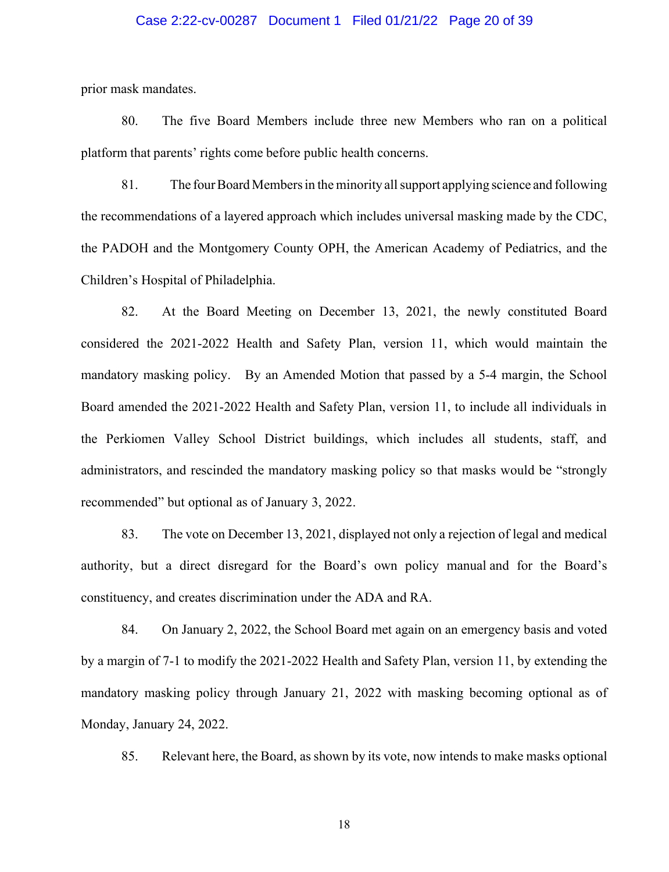# Case 2:22-cv-00287 Document 1 Filed 01/21/22 Page 20 of 39

prior mask mandates.

80. The five Board Members include three new Members who ran on a political platform that parents' rights come before public health concerns.

81. The fourBoard Membersin the minority allsupport applying science and following the recommendations of a layered approach which includes universal masking made by the CDC, the PADOH and the Montgomery County OPH, the American Academy of Pediatrics, and the Children's Hospital of Philadelphia.

82. At the Board Meeting on December 13, 2021, the newly constituted Board considered the 2021-2022 Health and Safety Plan, version 11, which would maintain the mandatory masking policy. By an Amended Motion that passed by a 5-4 margin, the School Board amended the 2021-2022 Health and Safety Plan, version 11, to include all individuals in the Perkiomen Valley School District buildings, which includes all students, staff, and administrators, and rescinded the mandatory masking policy so that masks would be "strongly recommended" but optional as of January 3, 2022.

83. The vote on December 13, 2021, displayed not only a rejection of legal and medical authority, but a direct disregard for the Board's own policy manual and for the Board's constituency, and creates discrimination under the ADA and RA.

84. On January 2, 2022, the School Board met again on an emergency basis and voted by a margin of 7-1 to modify the 2021-2022 Health and Safety Plan, version 11, by extending the mandatory masking policy through January 21, 2022 with masking becoming optional as of Monday, January 24, 2022.

85. Relevant here, the Board, as shown by its vote, now intends to make masks optional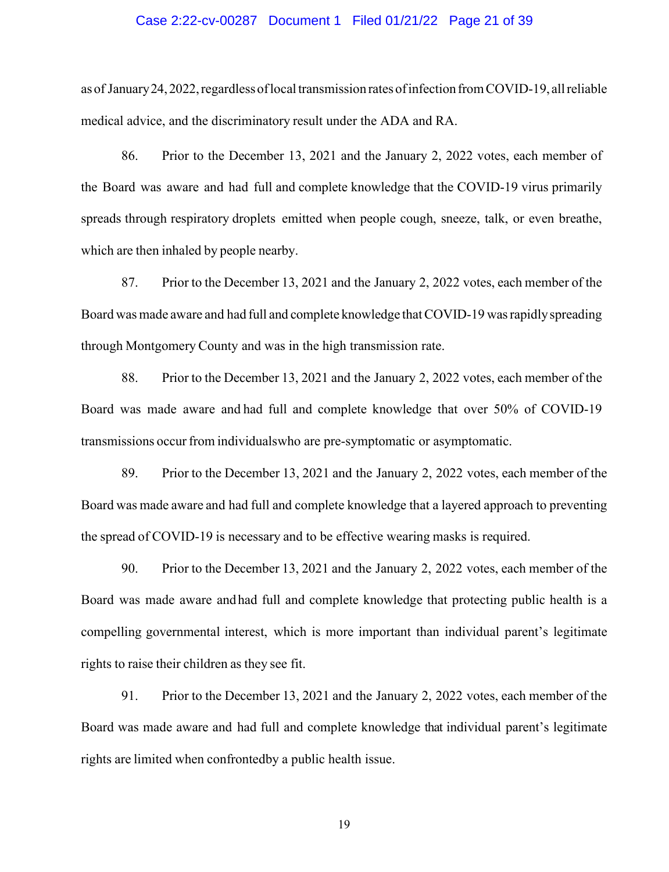## Case 2:22-cv-00287 Document 1 Filed 01/21/22 Page 21 of 39

as of January 24, 2022, regardless of local transmission rates of infection from COVID-19, all reliable medical advice, and the discriminatory result under the ADA and RA.

86. Prior to the December 13, 2021 and the January 2, 2022 votes, each member of the Board was aware and had full and complete knowledge that the COVID-19 virus primarily spreads through respiratory droplets emitted when people cough, sneeze, talk, or even breathe, which are then inhaled by people nearby.

87. Prior to the December 13, 2021 and the January 2, 2022 votes, each member of the Board was made aware and had full and complete knowledge that COVID-19 was rapidly spreading through Montgomery County and was in the high transmission rate.

88. Prior to the December 13, 2021 and the January 2, 2022 votes, each member of the Board was made aware and had full and complete knowledge that over 50% of COVID-19 transmissions occurfrom individualswho are pre-symptomatic or asymptomatic.

89. Prior to the December 13, 2021 and the January 2, 2022 votes, each member of the Board was made aware and had full and complete knowledge that a layered approach to preventing the spread of COVID-19 is necessary and to be effective wearing masks is required.

90. Prior to the December 13, 2021 and the January 2, 2022 votes, each member of the Board was made aware andhad full and complete knowledge that protecting public health is a compelling governmental interest, which is more important than individual parent's legitimate rights to raise their children as they see fit.

91. Prior to the December 13, 2021 and the January 2, 2022 votes, each member of the Board was made aware and had full and complete knowledge that individual parent's legitimate rights are limited when confrontedby a public health issue.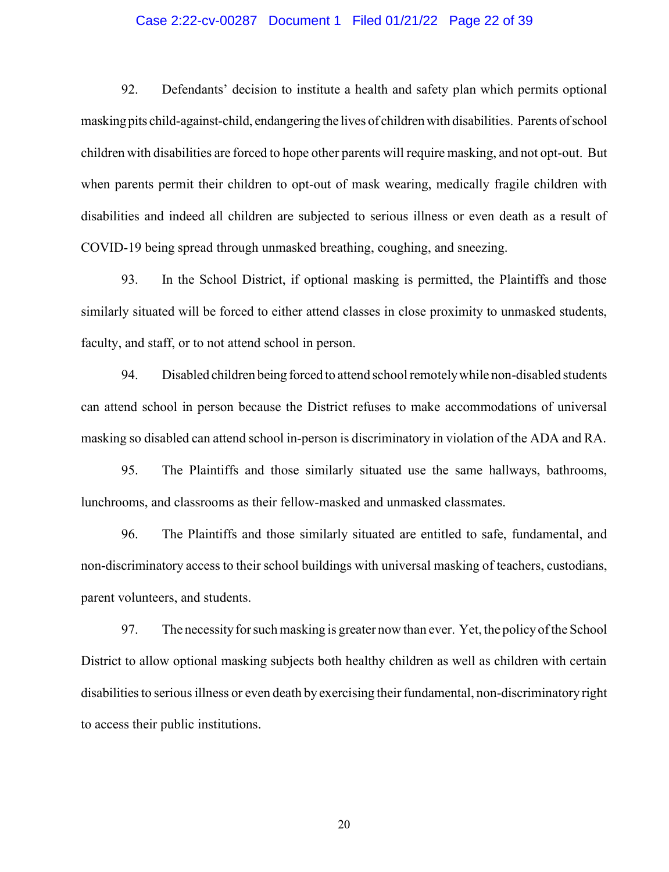# Case 2:22-cv-00287 Document 1 Filed 01/21/22 Page 22 of 39

92. Defendants' decision to institute a health and safety plan which permits optional maskingpits child-against-child, endangering the lives of childrenwith disabilities. Parents ofschool children with disabilities are forced to hope other parents will require masking, and not opt-out. But when parents permit their children to opt-out of mask wearing, medically fragile children with disabilities and indeed all children are subjected to serious illness or even death as a result of COVID-19 being spread through unmasked breathing, coughing, and sneezing.

93. In the School District, if optional masking is permitted, the Plaintiffs and those similarly situated will be forced to either attend classes in close proximity to unmasked students, faculty, and staff, or to not attend school in person.

94. Disabled children being forced to attend school remotely while non-disabled students can attend school in person because the District refuses to make accommodations of universal masking so disabled can attend school in-person is discriminatory in violation of the ADA and RA.

95. The Plaintiffs and those similarly situated use the same hallways, bathrooms, lunchrooms, and classrooms as their fellow-masked and unmasked classmates.

96. The Plaintiffs and those similarly situated are entitled to safe, fundamental, and non-discriminatory access to their school buildings with universal masking of teachers, custodians, parent volunteers, and students.

97. The necessityforsuchmasking is greater now than ever. Yet, the policyofthe School District to allow optional masking subjects both healthy children as well as children with certain disabilities to serious illness or even death by exercising their fundamental, non-discriminatory right to access their public institutions.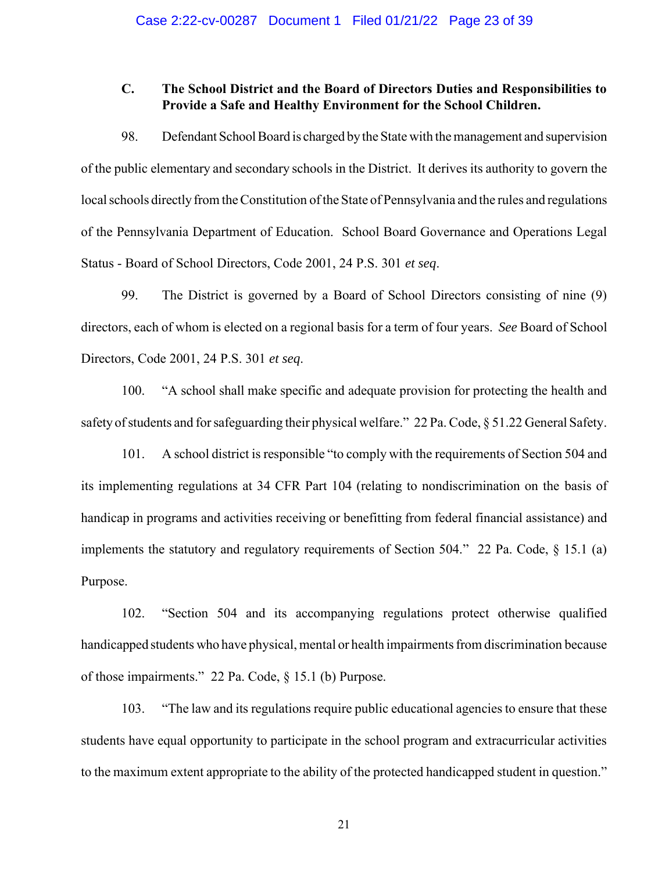# **C. The School District and the Board of Directors Duties and Responsibilities to Provide a Safe and Healthy Environment for the School Children.**

98. Defendant School Board is charged by the State with the management and supervision of the public elementary and secondary schools in the District. It derives its authority to govern the local schools directly from the Constitution of the State of Pennsylvania and the rules and regulations of the Pennsylvania Department of Education. School Board Governance and Operations Legal Status - Board of School Directors, Code 2001, 24 P.S. 301 *et seq*.

99. The District is governed by a Board of School Directors consisting of nine (9) directors, each of whom is elected on a regional basis for a term of four years. *See* Board of School Directors, Code 2001, 24 P.S. 301 *et seq*.

100. "A school shall make specific and adequate provision for protecting the health and safety of students and for safeguarding their physical welfare." 22 Pa. Code,  $\S 51.22$  General Safety.

101. A school district is responsible "to comply with the requirements of Section 504 and its implementing regulations at 34 CFR Part 104 (relating to nondiscrimination on the basis of handicap in programs and activities receiving or benefitting from federal financial assistance) and implements the statutory and regulatory requirements of Section 504." 22 Pa. Code, § 15.1 (a) Purpose.

102. "Section 504 and its accompanying regulations protect otherwise qualified handicapped students who have physical, mental or health impairments from discrimination because of those impairments." 22 Pa. Code, § 15.1 (b) Purpose.

103. "The law and its regulations require public educational agenciesto ensure that these students have equal opportunity to participate in the school program and extracurricular activities to the maximum extent appropriate to the ability of the protected handicapped student in question."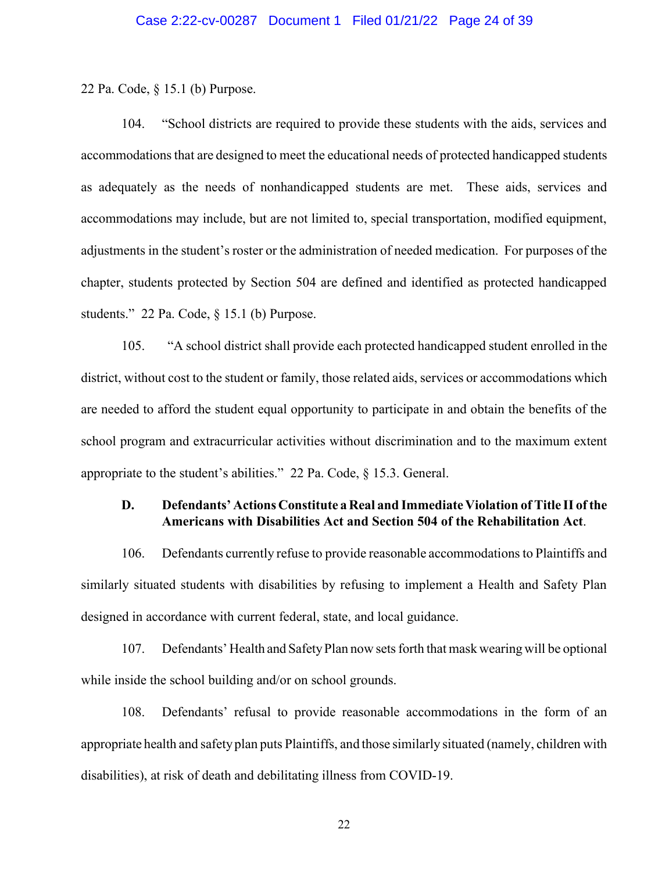22 Pa. Code, § 15.1 (b) Purpose.

104. "School districts are required to provide these students with the aids, services and accommodations that are designed to meet the educational needs of protected handicapped students as adequately as the needs of nonhandicapped students are met. These aids, services and accommodations may include, but are not limited to, special transportation, modified equipment, adjustments in the student's roster or the administration of needed medication. For purposes of the chapter, students protected by Section 504 are defined and identified as protected handicapped students." 22 Pa. Code, § 15.1 (b) Purpose.

105. "A school district shall provide each protected handicapped student enrolled in the district, without cost to the student or family, those related aids, services or accommodations which are needed to afford the student equal opportunity to participate in and obtain the benefits of the school program and extracurricular activities without discrimination and to the maximum extent appropriate to the student's abilities." 22 Pa. Code, § 15.3. General.

# **D. Defendants' Actions Constitute aReal and ImmediateViolation of Title II ofthe Americans with Disabilities Act and Section 504 of the Rehabilitation Act**.

106. Defendants currently refuse to provide reasonable accommodations to Plaintiffs and similarly situated students with disabilities by refusing to implement a Health and Safety Plan designed in accordance with current federal, state, and local guidance.

107. Defendants' Health and Safety Plan now sets forth that mask wearing will be optional while inside the school building and/or on school grounds.

108. Defendants' refusal to provide reasonable accommodations in the form of an appropriate health and safety plan puts Plaintiffs, and those similarly situated (namely, children with disabilities), at risk of death and debilitating illness from COVID-19.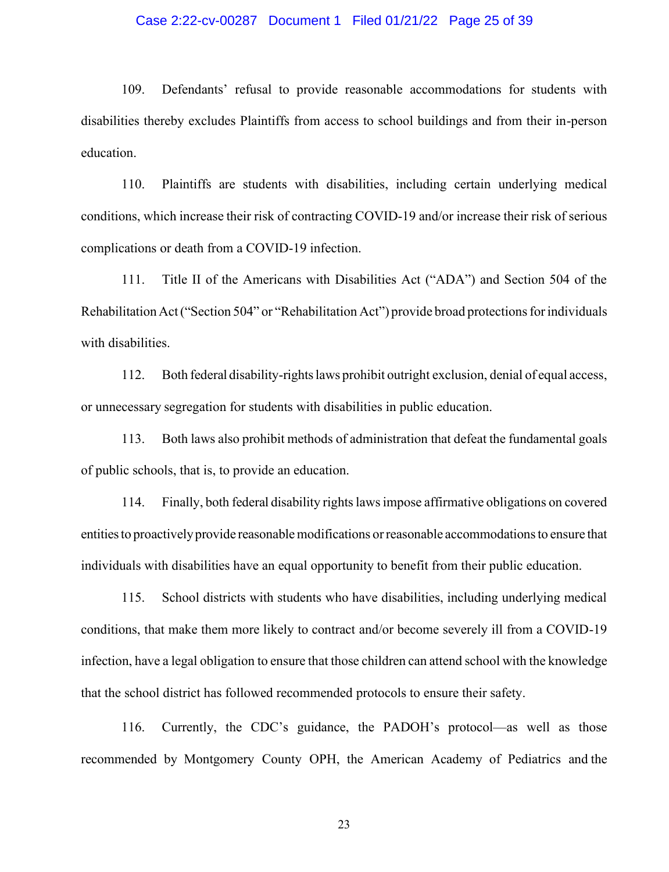# Case 2:22-cv-00287 Document 1 Filed 01/21/22 Page 25 of 39

109. Defendants' refusal to provide reasonable accommodations for students with disabilities thereby excludes Plaintiffs from access to school buildings and from their in-person education.

110. Plaintiffs are students with disabilities, including certain underlying medical conditions, which increase their risk of contracting COVID-19 and/or increase their risk of serious complications or death from a COVID-19 infection.

111. Title II of the Americans with Disabilities Act ("ADA") and Section 504 of the Rehabilitation Act ("Section 504" or "Rehabilitation Act") provide broad protections for individuals with disabilities.

112. Both federal disability-rightslaws prohibit outright exclusion, denial of equal access, or unnecessary segregation for students with disabilities in public education.

113. Both laws also prohibit methods of administration that defeat the fundamental goals of public schools, that is, to provide an education.

114. Finally, both federal disability rightslawsimpose affirmative obligations on covered entitiesto proactivelyprovide reasonablemodifications orreasonable accommodationsto ensure that individuals with disabilities have an equal opportunity to benefit from their public education.

115. School districts with students who have disabilities, including underlying medical conditions, that make them more likely to contract and/or become severely ill from a COVID-19 infection, have a legal obligation to ensure that those children can attend school with the knowledge that the school district has followed recommended protocols to ensure their safety.

116. Currently, the CDC's guidance, the PADOH's protocol—as well as those recommended by Montgomery County OPH, the American Academy of Pediatrics and the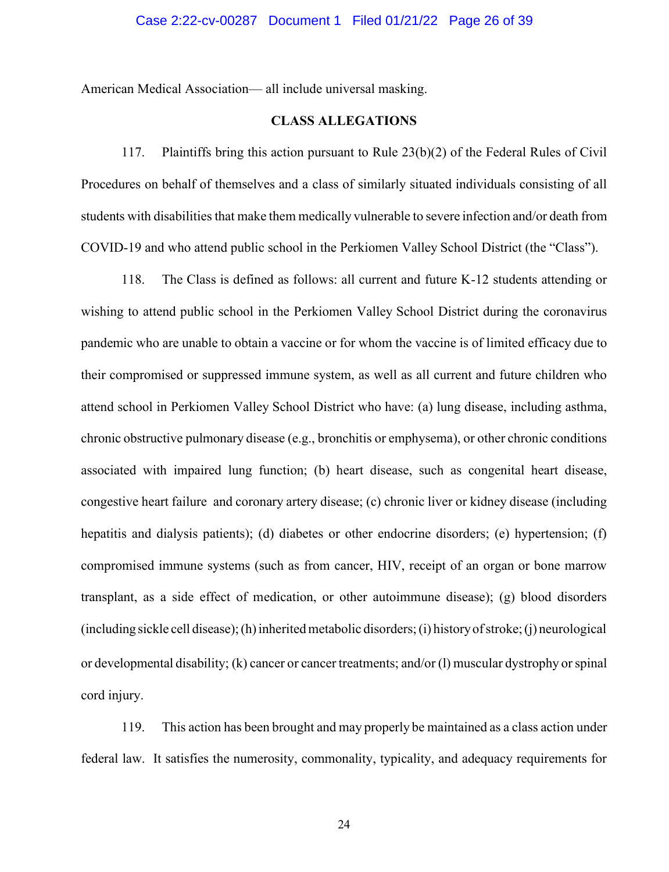American Medical Association— all include universal masking.

# **CLASS ALLEGATIONS**

117. Plaintiffs bring this action pursuant to Rule 23(b)(2) of the Federal Rules of Civil Procedures on behalf of themselves and a class of similarly situated individuals consisting of all students with disabilities that make them medically vulnerable to severe infection and/or death from COVID-19 and who attend public school in the Perkiomen Valley School District (the "Class").

118. The Class is defined as follows: all current and future K-12 students attending or wishing to attend public school in the Perkiomen Valley School District during the coronavirus pandemic who are unable to obtain a vaccine or for whom the vaccine is of limited efficacy due to their compromised or suppressed immune system, as well as all current and future children who attend school in Perkiomen Valley School District who have: (a) lung disease, including asthma, chronic obstructive pulmonary disease (e.g., bronchitis or emphysema), or other chronic conditions associated with impaired lung function; (b) heart disease, such as congenital heart disease, congestive heart failure and coronary artery disease; (c) chronic liver or kidney disease (including hepatitis and dialysis patients); (d) diabetes or other endocrine disorders; (e) hypertension; (f) compromised immune systems (such as from cancer, HIV, receipt of an organ or bone marrow transplant, as a side effect of medication, or other autoimmune disease); (g) blood disorders (including sickle cell disease); (h) inherited metabolic disorders; (i) history of stroke; (j) neurological or developmental disability; (k) cancer or cancer treatments; and/or (l) muscular dystrophy orspinal cord injury.

119. This action has been brought and may properly be maintained as a class action under federal law. It satisfies the numerosity, commonality, typicality, and adequacy requirements for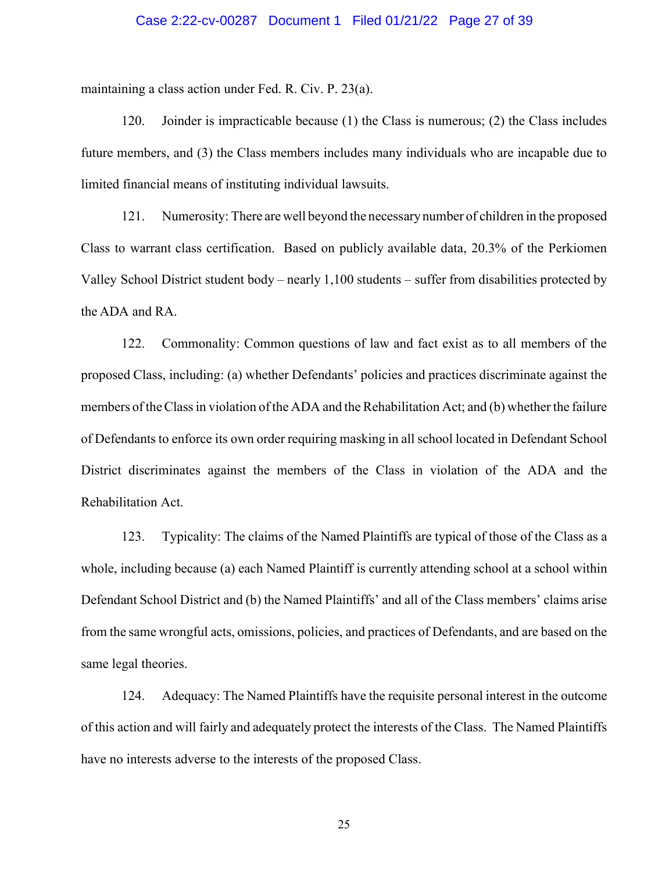# Case 2:22-cv-00287 Document 1 Filed 01/21/22 Page 27 of 39

maintaining a class action under Fed. R. Civ. P. 23(a).

120. Joinder is impracticable because (1) the Class is numerous; (2) the Class includes future members, and (3) the Class members includes many individuals who are incapable due to limited financial means of instituting individual lawsuits.

121. Numerosity: There arewell beyond the necessarynumber of children in the proposed Class to warrant class certification. Based on publicly available data, 20.3% of the Perkiomen Valley School District student body – nearly 1,100 students – suffer from disabilities protected by the ADA and RA.

122. Commonality: Common questions of law and fact exist as to all members of the proposed Class, including: (a) whether Defendants' policies and practices discriminate against the members of theClassin violation of the ADA and the Rehabilitation Act; and (b) whether the failure of Defendants to enforce its own order requiring masking in all school located in Defendant School District discriminates against the members of the Class in violation of the ADA and the Rehabilitation Act.

123. Typicality: The claims of the Named Plaintiffs are typical of those of the Class as a whole, including because (a) each Named Plaintiff is currently attending school at a school within Defendant School District and (b) the Named Plaintiffs' and all of the Class members' claims arise from the same wrongful acts, omissions, policies, and practices of Defendants, and are based on the same legal theories.

124. Adequacy: The Named Plaintiffs have the requisite personal interest in the outcome of this action and will fairly and adequately protect the interests of the Class. The Named Plaintiffs have no interests adverse to the interests of the proposed Class.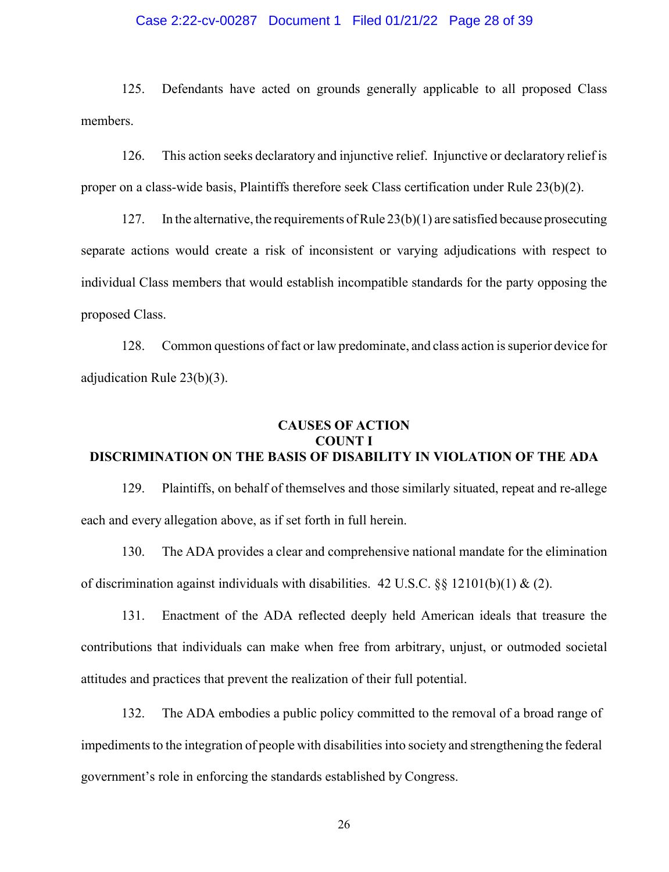# Case 2:22-cv-00287 Document 1 Filed 01/21/22 Page 28 of 39

125. Defendants have acted on grounds generally applicable to all proposed Class members.

126. This action seeks declaratory and injunctive relief. Injunctive or declaratory relief is proper on a class-wide basis, Plaintiffs therefore seek Class certification under Rule 23(b)(2).

127. In the alternative, the requirements of Rule  $23(b)(1)$  are satisfied because prosecuting separate actions would create a risk of inconsistent or varying adjudications with respect to individual Class members that would establish incompatible standards for the party opposing the proposed Class.

128. Common questions of fact or law predominate, and class action issuperior device for adjudication Rule 23(b)(3).

# **CAUSES OF ACTION COUNT I DISCRIMINATION ON THE BASIS OF DISABILITY IN VIOLATION OF THE ADA**

129. Plaintiffs, on behalf of themselves and those similarly situated, repeat and re-allege each and every allegation above, as if set forth in full herein.

130. The ADA provides a clear and comprehensive national mandate for the elimination of discrimination against individuals with disabilities. 42 U.S.C.  $\&$  12101(b)(1) & (2).

131. Enactment of the ADA reflected deeply held American ideals that treasure the contributions that individuals can make when free from arbitrary, unjust, or outmoded societal attitudes and practices that prevent the realization of their full potential.

132. The ADA embodies a public policy committed to the removal of a broad range of impediments to the integration of people with disabilities into society and strengthening the federal government's role in enforcing the standards established by Congress.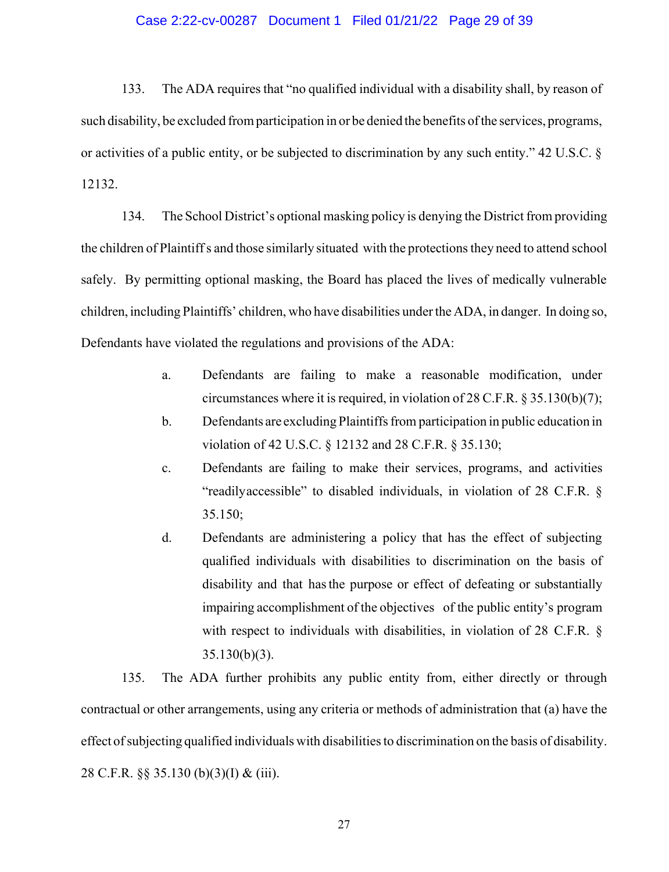# Case 2:22-cv-00287 Document 1 Filed 01/21/22 Page 29 of 39

133. The ADA requires that "no qualified individual with a disability shall, by reason of such disability, be excluded fromparticipation in or be denied the benefits ofthe services, programs, or activities of a public entity, or be subjected to discrimination by any such entity." 42 U.S.C. § 12132.

134. The School District's optional masking policy is denying the District from providing the children of Plaintiffs and those similarly situated with the protections they need to attend school safely. By permitting optional masking, the Board has placed the lives of medically vulnerable children, including Plaintiffs' children, who have disabilities underthe ADA, in danger. In doing so, Defendants have violated the regulations and provisions of the ADA:

- a. Defendants are failing to make a reasonable modification, under circumstances where it is required, in violation of 28 C.F.R. § 35.130(b)(7);
- b. Defendants are excluding Plaintiffs from participation in public education in violation of 42 U.S.C. § 12132 and 28 C.F.R. § 35.130;
- c. Defendants are failing to make their services, programs, and activities "readilyaccessible" to disabled individuals, in violation of 28 C.F.R. § 35.150;
- d. Defendants are administering a policy that has the effect of subjecting qualified individuals with disabilities to discrimination on the basis of disability and that hasthe purpose or effect of defeating or substantially impairing accomplishment of the objectives of the public entity's program with respect to individuals with disabilities, in violation of 28 C.F.R. § 35.130(b)(3).

135. The ADA further prohibits any public entity from, either directly or through contractual or other arrangements, using any criteria or methods of administration that (a) have the effect of subjecting qualified individuals with disabilities to discrimination on the basis of disability. 28 C.F.R. §§ 35.130 (b)(3)(I) & (iii).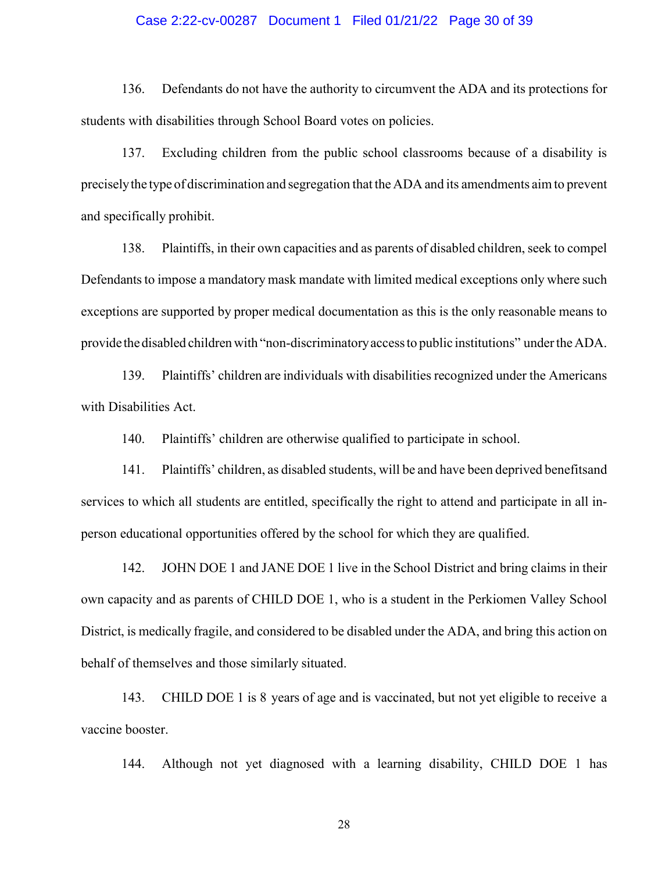# Case 2:22-cv-00287 Document 1 Filed 01/21/22 Page 30 of 39

136. Defendants do not have the authority to circumvent the ADA and its protections for students with disabilities through School Board votes on policies.

137. Excluding children from the public school classrooms because of a disability is preciselythe type of discrimination and segregation that the ADA and its amendments aim to prevent and specifically prohibit.

138. Plaintiffs, in their own capacities and as parents of disabled children,seek to compel Defendants to impose a mandatory mask mandate with limited medical exceptions only where such exceptions are supported by proper medical documentation as this is the only reasonable means to provide the disabled childrenwith "non-discriminatoryaccessto public institutions" undertheADA.

139. Plaintiffs' children are individuals with disabilities recognized under the Americans with Disabilities Act.

140. Plaintiffs' children are otherwise qualified to participate in school.

141. Plaintiffs' children, as disabled students, will be and have been deprived benefitsand services to which all students are entitled, specifically the right to attend and participate in all inperson educational opportunities offered by the school for which they are qualified.

142. JOHN DOE 1 and JANE DOE 1 live in the School District and bring claims in their own capacity and as parents of CHILD DOE 1, who is a student in the Perkiomen Valley School District, is medically fragile, and considered to be disabled under the ADA, and bring this action on behalf of themselves and those similarly situated.

143. CHILD DOE 1 is 8 years of age and is vaccinated, but not yet eligible to receive a vaccine booster.

144. Although not yet diagnosed with a learning disability, CHILD DOE 1 has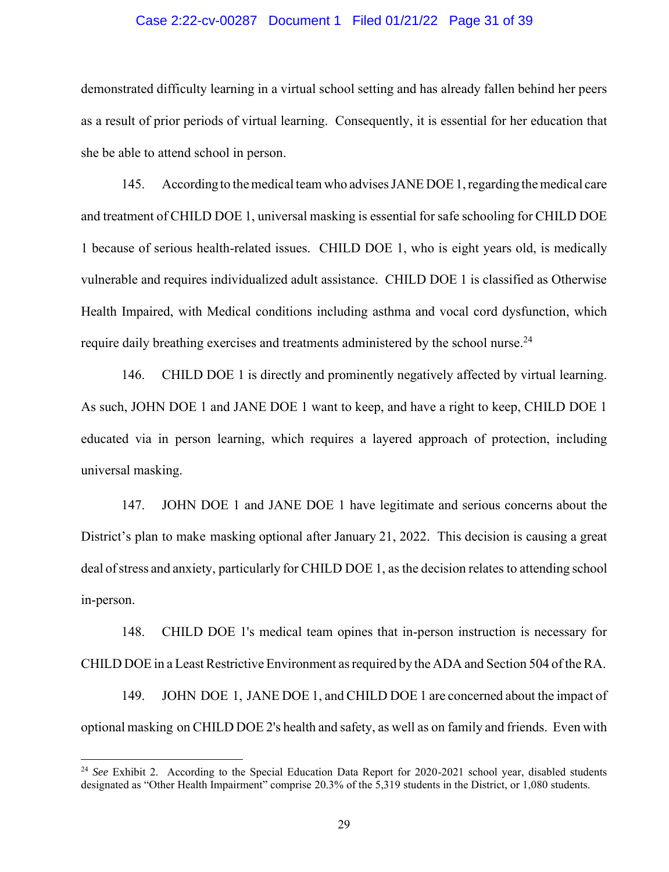## Case 2:22-cv-00287 Document 1 Filed 01/21/22 Page 31 of 39

demonstrated difficulty learning in a virtual school setting and has already fallen behind her peers as a result of prior periods of virtual learning. Consequently, it is essential for her education that she be able to attend school in person.

145. Accordingto themedical teamwho advisesJANE DOE1,regarding themedical care and treatment of CHILD DOE 1, universal masking is essential for safe schooling for CHILD DOE 1 because of serious health-related issues. CHILD DOE 1, who is eight years old, is medically vulnerable and requires individualized adult assistance. CHILD DOE 1 is classified as Otherwise Health Impaired, with Medical conditions including asthma and vocal cord dysfunction, which require daily breathing exercises and treatments administered by the school nurse.<sup>24</sup>

146. CHILD DOE 1 is directly and prominently negatively affected by virtual learning. As such, JOHN DOE 1 and JANE DOE 1 want to keep, and have a right to keep, CHILD DOE 1 educated via in person learning, which requires a layered approach of protection, including universal masking.

147. JOHN DOE 1 and JANE DOE 1 have legitimate and serious concerns about the District's plan to make masking optional after January 21, 2022. This decision is causing a great deal of stress and anxiety, particularly for CHILD DOE 1, as the decision relates to attending school in-person.

148. CHILD DOE 1's medical team opines that in-person instruction is necessary for CHILD DOE in a Least Restrictive Environment as required by the ADA and Section 504 of the RA.

149. JOHN DOE 1, JANE DOE 1, and CHILD DOE 1 are concerned about the impact of optional masking on CHILD DOE 2's health and safety, as well as on family and friends. Even with

<sup>&</sup>lt;sup>24</sup> *See* Exhibit 2. According to the Special Education Data Report for 2020-2021 school year, disabled students designated as "Other Health Impairment" comprise 20.3% of the 5,319 students in the District, or 1,080 students.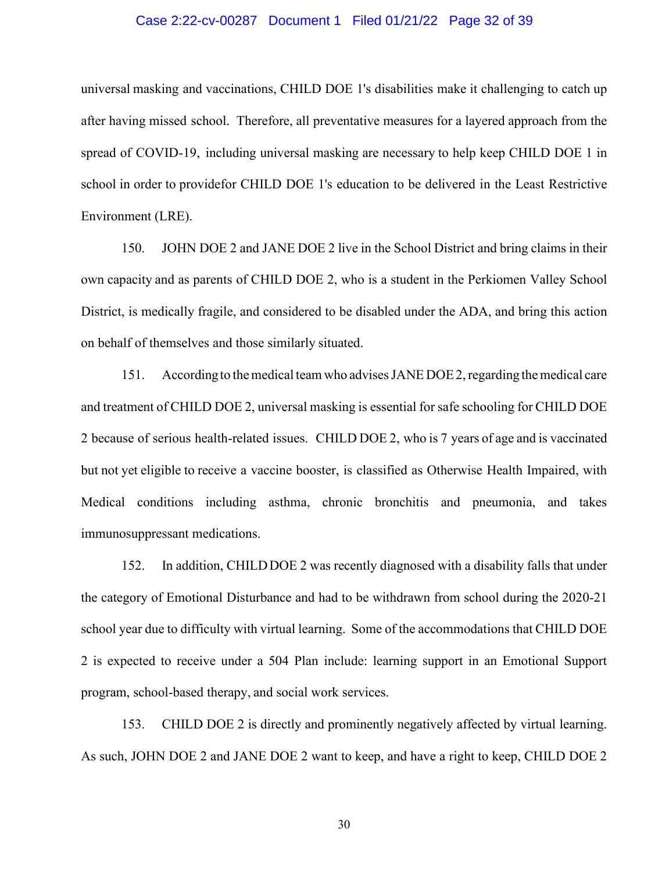## Case 2:22-cv-00287 Document 1 Filed 01/21/22 Page 32 of 39

universal masking and vaccinations, CHILD DOE 1's disabilities make it challenging to catch up after having missed school. Therefore, all preventative measures for a layered approach from the spread of COVID-19, including universal masking are necessary to help keep CHILD DOE 1 in school in order to providefor CHILD DOE 1's education to be delivered in the Least Restrictive Environment (LRE).

150. JOHN DOE 2 and JANE DOE 2 live in the School District and bring claims in their own capacity and as parents of CHILD DOE 2, who is a student in the Perkiomen Valley School District, is medically fragile, and considered to be disabled under the ADA, and bring this action on behalf of themselves and those similarly situated.

151. According to the medical team who advises JANE DOE 2, regarding the medical care and treatment of CHILD DOE 2, universal masking is essential for safe schooling for CHILD DOE 2 because of serious health-related issues. CHILD DOE 2, who is 7 years of age and is vaccinated but not yet eligible to receive a vaccine booster, is classified as Otherwise Health Impaired, with Medical conditions including asthma, chronic bronchitis and pneumonia, and takes immunosuppressant medications.

152. In addition, CHILDDOE 2 was recently diagnosed with a disability falls that under the category of Emotional Disturbance and had to be withdrawn from school during the 2020-21 school year due to difficulty with virtual learning. Some of the accommodations that CHILD DOE 2 is expected to receive under a 504 Plan include: learning support in an Emotional Support program, school-based therapy, and social work services.

153. CHILD DOE 2 is directly and prominently negatively affected by virtual learning. As such, JOHN DOE 2 and JANE DOE 2 want to keep, and have a right to keep, CHILD DOE 2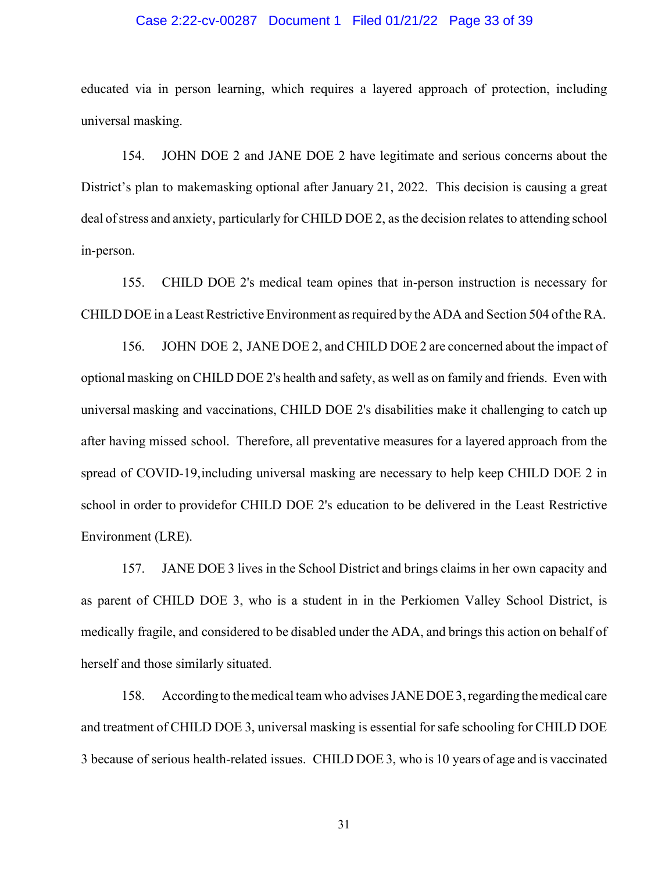# Case 2:22-cv-00287 Document 1 Filed 01/21/22 Page 33 of 39

educated via in person learning, which requires a layered approach of protection, including universal masking.

154. JOHN DOE 2 and JANE DOE 2 have legitimate and serious concerns about the District's plan to makemasking optional after January 21, 2022. This decision is causing a great deal of stress and anxiety, particularly for CHILD DOE 2, as the decision relates to attending school in-person.

155. CHILD DOE 2's medical team opines that in-person instruction is necessary for CHILD DOE in a Least Restrictive Environment as required by the ADA and Section 504 of the RA.

156. JOHN DOE 2, JANE DOE 2, and CHILD DOE 2 are concerned about the impact of optional masking on CHILD DOE 2's health and safety, as well as on family and friends. Even with universal masking and vaccinations, CHILD DOE 2's disabilities make it challenging to catch up after having missed school. Therefore, all preventative measures for a layered approach from the spread of COVID-19,including universal masking are necessary to help keep CHILD DOE 2 in school in order to providefor CHILD DOE 2's education to be delivered in the Least Restrictive Environment (LRE).

157. JANE DOE 3 lives in the School District and brings claims in her own capacity and as parent of CHILD DOE 3, who is a student in in the Perkiomen Valley School District, is medically fragile, and considered to be disabled under the ADA, and brings this action on behalf of herself and those similarly situated.

158. Accordingto themedical teamwho advisesJANE DOE3,regarding themedical care and treatment of CHILD DOE 3, universal masking is essential for safe schooling for CHILD DOE 3 because of serious health-related issues. CHILD DOE 3, who is 10 years of age and is vaccinated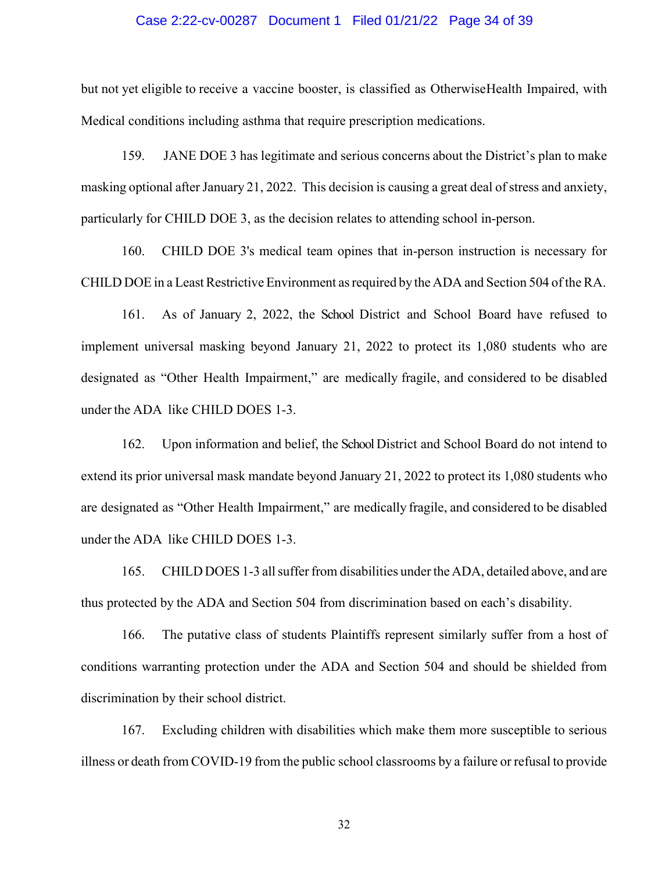## Case 2:22-cv-00287 Document 1 Filed 01/21/22 Page 34 of 39

but not yet eligible to receive a vaccine booster, is classified as OtherwiseHealth Impaired, with Medical conditions including asthma that require prescription medications.

159. JANE DOE 3 has legitimate and serious concerns about the District's plan to make masking optional after January 21, 2022. This decision is causing a great deal of stress and anxiety, particularly for CHILD DOE 3, as the decision relates to attending school in-person.

160. CHILD DOE 3's medical team opines that in-person instruction is necessary for CHILD DOE in a Least Restrictive Environment as required by the ADA and Section 504 of the RA.

161. As of January 2, 2022, the School District and School Board have refused to implement universal masking beyond January 21, 2022 to protect its 1,080 students who are designated as "Other Health Impairment," are medically fragile, and considered to be disabled under the ADA like CHILD DOES 1-3.

162. Upon information and belief, the School District and School Board do not intend to extend its prior universal mask mandate beyond January 21, 2022 to protect its 1,080 students who are designated as "Other Health Impairment," are medically fragile, and considered to be disabled under the ADA like CHILD DOES 1-3.

165. CHILD DOES 1-3 all suffer from disabilities under the ADA, detailed above, and are thus protected by the ADA and Section 504 from discrimination based on each's disability.

166. The putative class of students Plaintiffs represent similarly suffer from a host of conditions warranting protection under the ADA and Section 504 and should be shielded from discrimination by their school district.

167. Excluding children with disabilities which make them more susceptible to serious illness or death from COVID-19 from the public school classrooms by a failure or refusal to provide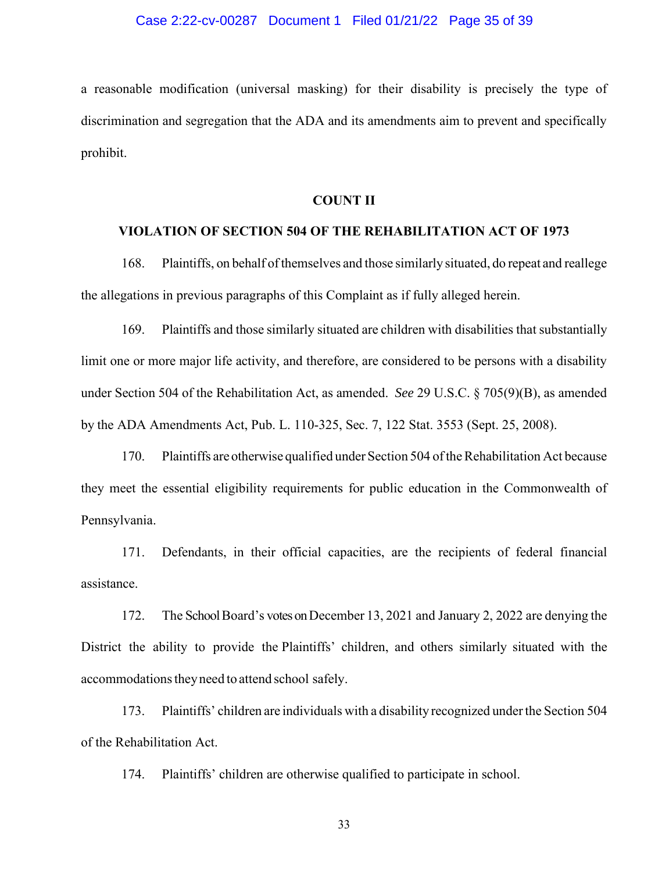# Case 2:22-cv-00287 Document 1 Filed 01/21/22 Page 35 of 39

a reasonable modification (universal masking) for their disability is precisely the type of discrimination and segregation that the ADA and its amendments aim to prevent and specifically prohibit.

#### **COUNT II**

#### **VIOLATION OF SECTION 504 OF THE REHABILITATION ACT OF 1973**

168. Plaintiffs, on behalf ofthemselves and those similarly situated, do repeat and reallege the allegations in previous paragraphs of this Complaint as if fully alleged herein.

169. Plaintiffs and those similarly situated are children with disabilities that substantially limit one or more major life activity, and therefore, are considered to be persons with a disability under Section 504 of the Rehabilitation Act, as amended. *See* 29 U.S.C. § 705(9)(B), as amended by the ADA Amendments Act, Pub. L. 110-325, Sec. 7, 122 Stat. 3553 (Sept. 25, 2008).

170. Plaintiffs are otherwise qualified under Section 504 of the Rehabilitation Act because they meet the essential eligibility requirements for public education in the Commonwealth of Pennsylvania.

171. Defendants, in their official capacities, are the recipients of federal financial assistance.

172. The School Board's votes on December 13, 2021 and January 2, 2022 are denying the District the ability to provide the Plaintiffs' children, and others similarly situated with the accommodations they need to attend school safely.

173. Plaintiffs' children are individuals with a disability recognized underthe Section 504 of the Rehabilitation Act.

174. Plaintiffs' children are otherwise qualified to participate in school.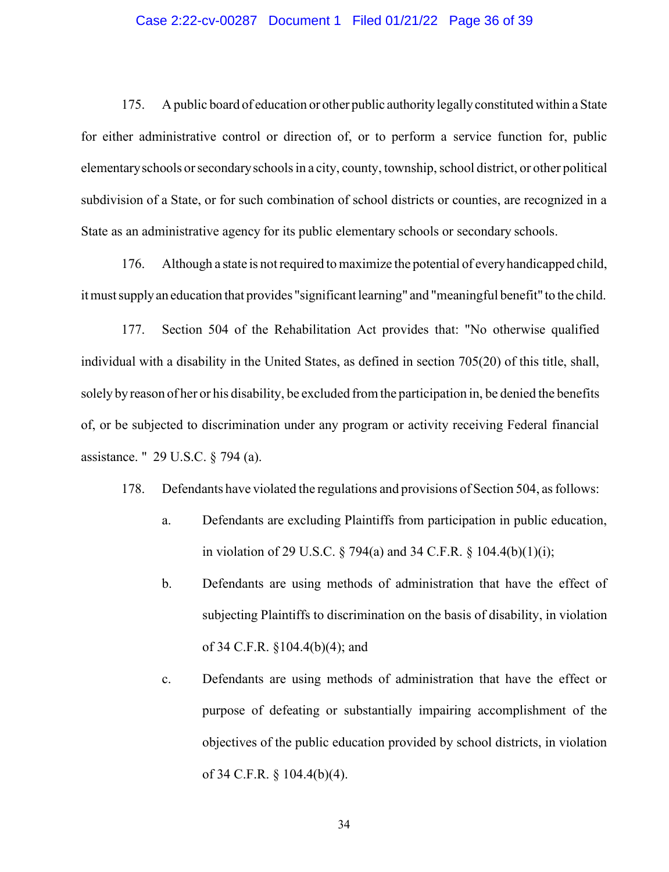# Case 2:22-cv-00287 Document 1 Filed 01/21/22 Page 36 of 39

175. A public board of education or other public authority legallyconstituted within a State for either administrative control or direction of, or to perform a service function for, public elementary schools or secondary schools in a city, county, township, school district, or other political subdivision of a State, or for such combination of school districts or counties, are recognized in a State as an administrative agency for its public elementary schools or secondary schools.

176. Although a state is notrequired to maximize the potential of everyhandicapped child, itmustsupplyan education that provides "significant learning" and "meaningful benefit" to the child.

177. Section 504 of the Rehabilitation Act provides that: "No otherwise qualified individual with a disability in the United States, as defined in section 705(20) of this title, shall, solely by reason of her or his disability, be excluded fromthe participation in, be denied the benefits of, or be subjected to discrimination under any program or activity receiving Federal financial assistance. " 29 U.S.C. § 794 (a).

178. Defendants have violated the regulations and provisions of Section 504, asfollows:

- a. Defendants are excluding Plaintiffs from participation in public education, in violation of 29 U.S.C.  $\S$  794(a) and 34 C.F.R.  $\S$  104.4(b)(1)(i);
- b. Defendants are using methods of administration that have the effect of subjecting Plaintiffs to discrimination on the basis of disability, in violation of 34 C.F.R. §104.4(b)(4); and
- c. Defendants are using methods of administration that have the effect or purpose of defeating or substantially impairing accomplishment of the objectives of the public education provided by school districts, in violation of 34 C.F.R. § 104.4(b)(4).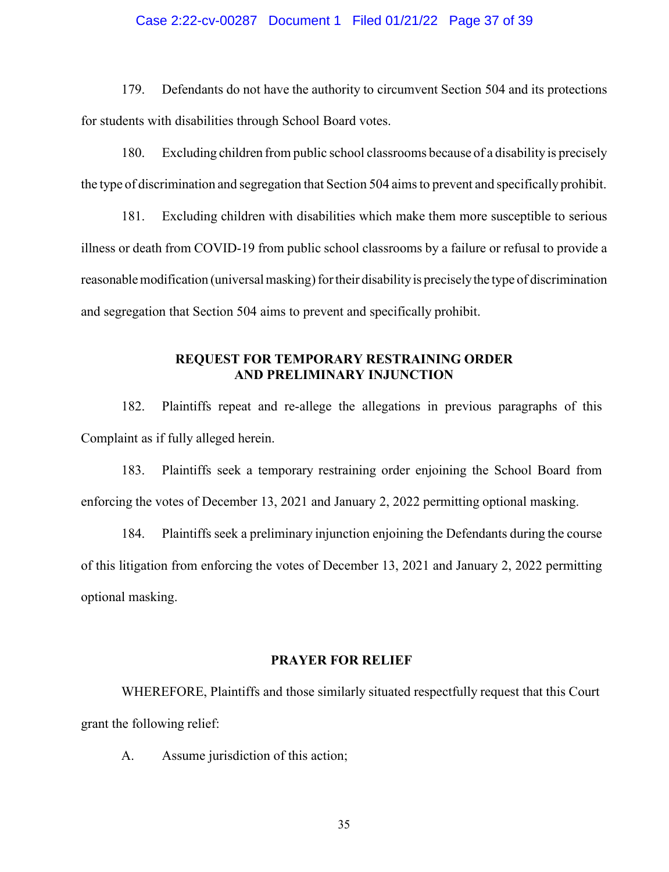# Case 2:22-cv-00287 Document 1 Filed 01/21/22 Page 37 of 39

179. Defendants do not have the authority to circumvent Section 504 and its protections for students with disabilities through School Board votes.

180. Excluding children from public school classrooms because of a disability is precisely the type of discrimination and segregation that Section 504 aimsto prevent and specifically prohibit.

181. Excluding children with disabilities which make them more susceptible to serious illness or death from COVID-19 from public school classrooms by a failure or refusal to provide a reasonable modification (universal masking) for their disability is precisely the type of discrimination and segregation that Section 504 aims to prevent and specifically prohibit.

# **REQUEST FOR TEMPORARY RESTRAINING ORDER AND PRELIMINARY INJUNCTION**

182. Plaintiffs repeat and re-allege the allegations in previous paragraphs of this Complaint as if fully alleged herein.

183. Plaintiffs seek a temporary restraining order enjoining the School Board from enforcing the votes of December 13, 2021 and January 2, 2022 permitting optional masking.

184. Plaintiffs seek a preliminary injunction enjoining the Defendants during the course of this litigation from enforcing the votes of December 13, 2021 and January 2, 2022 permitting optional masking.

# **PRAYER FOR RELIEF**

WHEREFORE, Plaintiffs and those similarly situated respectfully request that this Court grant the following relief:

A. Assume jurisdiction of this action;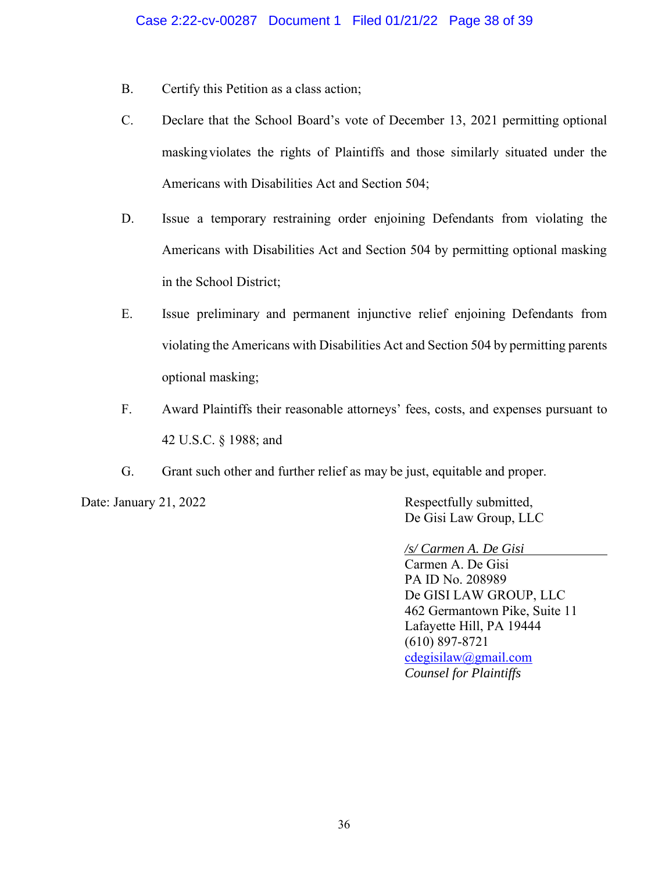- B. Certify this Petition as a class action;
- C. Declare that the School Board's vote of December 13, 2021 permitting optional maskingviolates the rights of Plaintiffs and those similarly situated under the Americans with Disabilities Act and Section 504;
- D. Issue a temporary restraining order enjoining Defendants from violating the Americans with Disabilities Act and Section 504 by permitting optional masking in the School District;
- E. Issue preliminary and permanent injunctive relief enjoining Defendants from violating the Americans with Disabilities Act and Section 504 by permitting parents optional masking;
- F. Award Plaintiffs their reasonable attorneys' fees, costs, and expenses pursuant to 42 U.S.C. § 1988; and
- G. Grant such other and further relief as may be just, equitable and proper.

Date: January 21, 2022 Respectfully submitted, De Gisi Law Group, LLC

*/s/ Carmen A. De Gisi*

Carmen A. De Gisi PA ID No. 208989 De GISI LAW GROUP, LLC 462 Germantown Pike, Suite 11 Lafayette Hill, PA 19444 (610) 897-8721 [cdegisilaw@gmail.com](mailto:cdegisilaw@gmail.com) *Counsel for Plaintiffs*